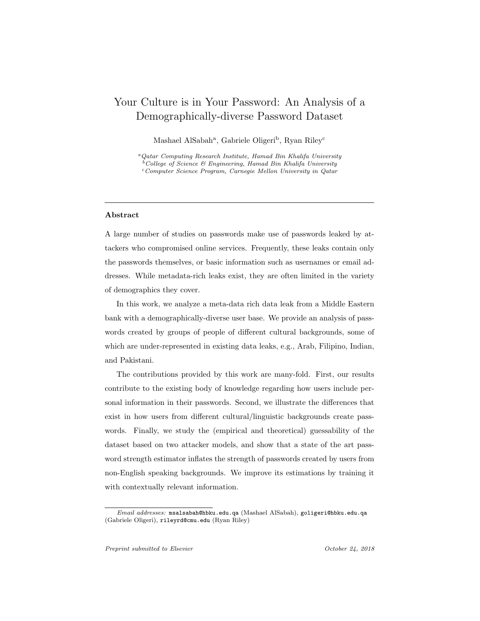# Your Culture is in Your Password: An Analysis of a Demographically-diverse Password Dataset

Mashael AlSabah<sup>a</sup>, Gabriele Oligeri<sup>b</sup>, Ryan Riley<sup>c</sup>

<sup>a</sup>Qatar Computing Research Institute, Hamad Bin Khalifa University  $b^b$ College of Science & Engineering, Hamad Bin Khalifa University <sup>c</sup>Computer Science Program, Carnegie Mellon University in Qatar

## Abstract

A large number of studies on passwords make use of passwords leaked by attackers who compromised online services. Frequently, these leaks contain only the passwords themselves, or basic information such as usernames or email addresses. While metadata-rich leaks exist, they are often limited in the variety of demographics they cover.

In this work, we analyze a meta-data rich data leak from a Middle Eastern bank with a demographically-diverse user base. We provide an analysis of passwords created by groups of people of different cultural backgrounds, some of which are under-represented in existing data leaks, e.g., Arab, Filipino, Indian, and Pakistani.

The contributions provided by this work are many-fold. First, our results contribute to the existing body of knowledge regarding how users include personal information in their passwords. Second, we illustrate the differences that exist in how users from different cultural/linguistic backgrounds create passwords. Finally, we study the (empirical and theoretical) guessability of the dataset based on two attacker models, and show that a state of the art password strength estimator inflates the strength of passwords created by users from non-English speaking backgrounds. We improve its estimations by training it with contextually relevant information.

Email addresses: msalsabah@hbku.edu.qa (Mashael AlSabah), goligeri@hbku.edu.qa (Gabriele Oligeri), rileyrd@cmu.edu (Ryan Riley)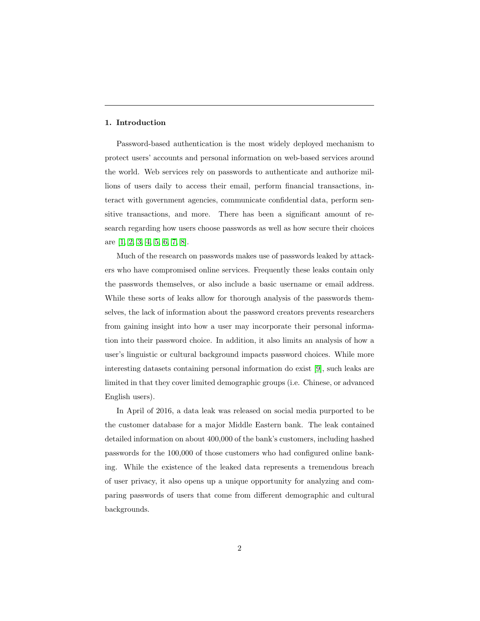### 1. Introduction

Password-based authentication is the most widely deployed mechanism to protect users' accounts and personal information on web-based services around the world. Web services rely on passwords to authenticate and authorize millions of users daily to access their email, perform financial transactions, interact with government agencies, communicate confidential data, perform sensitive transactions, and more. There has been a significant amount of research regarding how users choose passwords as well as how secure their choices are [\[1,](#page-34-0) [2,](#page-34-1) [3,](#page-34-2) [4,](#page-34-3) [5,](#page-34-4) [6,](#page-34-5) [7,](#page-34-6) [8\]](#page-35-0).

Much of the research on passwords makes use of passwords leaked by attackers who have compromised online services. Frequently these leaks contain only the passwords themselves, or also include a basic username or email address. While these sorts of leaks allow for thorough analysis of the passwords themselves, the lack of information about the password creators prevents researchers from gaining insight into how a user may incorporate their personal information into their password choice. In addition, it also limits an analysis of how a user's linguistic or cultural background impacts password choices. While more interesting datasets containing personal information do exist [\[9\]](#page-35-1), such leaks are limited in that they cover limited demographic groups (i.e. Chinese, or advanced English users).

In April of 2016, a data leak was released on social media purported to be the customer database for a major Middle Eastern bank. The leak contained detailed information on about 400,000 of the bank's customers, including hashed passwords for the 100,000 of those customers who had configured online banking. While the existence of the leaked data represents a tremendous breach of user privacy, it also opens up a unique opportunity for analyzing and comparing passwords of users that come from different demographic and cultural backgrounds.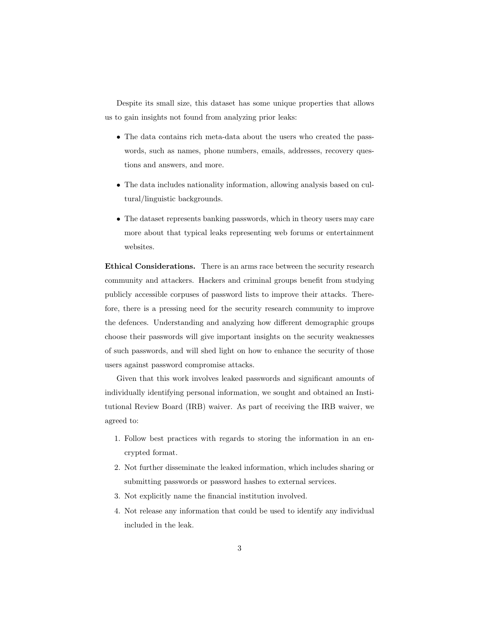Despite its small size, this dataset has some unique properties that allows us to gain insights not found from analyzing prior leaks:

- The data contains rich meta-data about the users who created the passwords, such as names, phone numbers, emails, addresses, recovery questions and answers, and more.
- The data includes nationality information, allowing analysis based on cultural/linguistic backgrounds.
- The dataset represents banking passwords, which in theory users may care more about that typical leaks representing web forums or entertainment websites.

Ethical Considerations. There is an arms race between the security research community and attackers. Hackers and criminal groups benefit from studying publicly accessible corpuses of password lists to improve their attacks. Therefore, there is a pressing need for the security research community to improve the defences. Understanding and analyzing how different demographic groups choose their passwords will give important insights on the security weaknesses of such passwords, and will shed light on how to enhance the security of those users against password compromise attacks.

Given that this work involves leaked passwords and significant amounts of individually identifying personal information, we sought and obtained an Institutional Review Board (IRB) waiver. As part of receiving the IRB waiver, we agreed to:

- 1. Follow best practices with regards to storing the information in an encrypted format.
- 2. Not further disseminate the leaked information, which includes sharing or submitting passwords or password hashes to external services.
- 3. Not explicitly name the financial institution involved.
- 4. Not release any information that could be used to identify any individual included in the leak.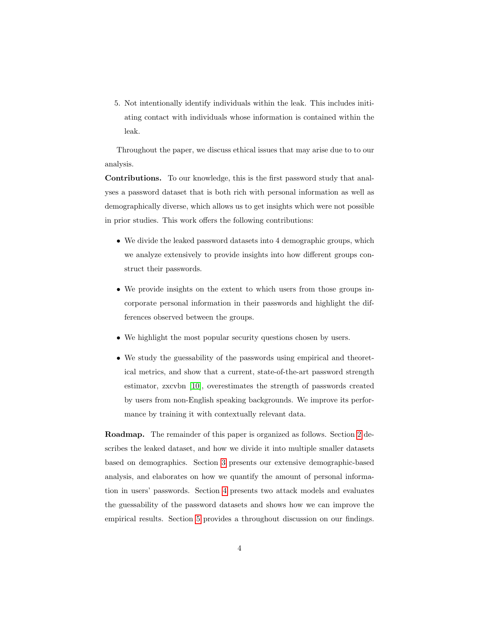5. Not intentionally identify individuals within the leak. This includes initiating contact with individuals whose information is contained within the leak.

Throughout the paper, we discuss ethical issues that may arise due to to our analysis.

Contributions. To our knowledge, this is the first password study that analyses a password dataset that is both rich with personal information as well as demographically diverse, which allows us to get insights which were not possible in prior studies. This work offers the following contributions:

- We divide the leaked password datasets into 4 demographic groups, which we analyze extensively to provide insights into how different groups construct their passwords.
- We provide insights on the extent to which users from those groups incorporate personal information in their passwords and highlight the differences observed between the groups.
- We highlight the most popular security questions chosen by users.
- We study the guessability of the passwords using empirical and theoretical metrics, and show that a current, state-of-the-art password strength estimator, zxcvbn [\[10\]](#page-35-2), overestimates the strength of passwords created by users from non-English speaking backgrounds. We improve its performance by training it with contextually relevant data.

Roadmap. The remainder of this paper is organized as follows. Section [2](#page-4-0) describes the leaked dataset, and how we divide it into multiple smaller datasets based on demographics. Section [3](#page-9-0) presents our extensive demographic-based analysis, and elaborates on how we quantify the amount of personal information in users' passwords. Section [4](#page-23-0) presents two attack models and evaluates the guessability of the password datasets and shows how we can improve the empirical results. Section [5](#page-29-0) provides a throughout discussion on our findings.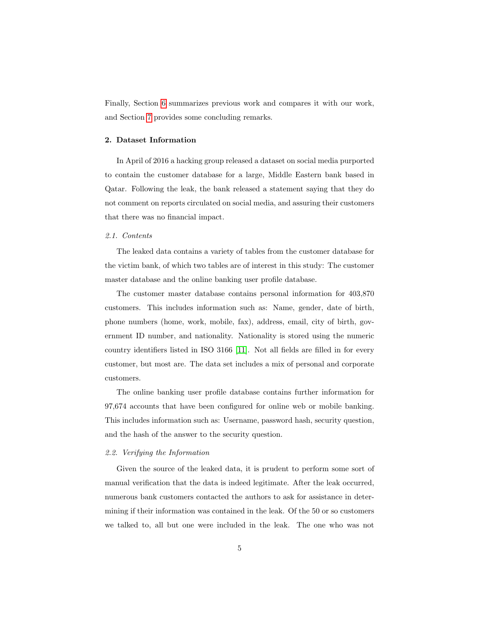Finally, Section [6](#page-31-0) summarizes previous work and compares it with our work, and Section [7](#page-33-0) provides some concluding remarks.

## <span id="page-4-0"></span>2. Dataset Information

In April of 2016 a hacking group released a dataset on social media purported to contain the customer database for a large, Middle Eastern bank based in Qatar. Following the leak, the bank released a statement saying that they do not comment on reports circulated on social media, and assuring their customers that there was no financial impact.

#### 2.1. Contents

The leaked data contains a variety of tables from the customer database for the victim bank, of which two tables are of interest in this study: The customer master database and the online banking user profile database.

The customer master database contains personal information for 403,870 customers. This includes information such as: Name, gender, date of birth, phone numbers (home, work, mobile, fax), address, email, city of birth, government ID number, and nationality. Nationality is stored using the numeric country identifiers listed in ISO 3166 [\[11\]](#page-35-3). Not all fields are filled in for every customer, but most are. The data set includes a mix of personal and corporate customers.

The online banking user profile database contains further information for 97,674 accounts that have been configured for online web or mobile banking. This includes information such as: Username, password hash, security question, and the hash of the answer to the security question.

### 2.2. Verifying the Information

Given the source of the leaked data, it is prudent to perform some sort of manual verification that the data is indeed legitimate. After the leak occurred, numerous bank customers contacted the authors to ask for assistance in determining if their information was contained in the leak. Of the 50 or so customers we talked to, all but one were included in the leak. The one who was not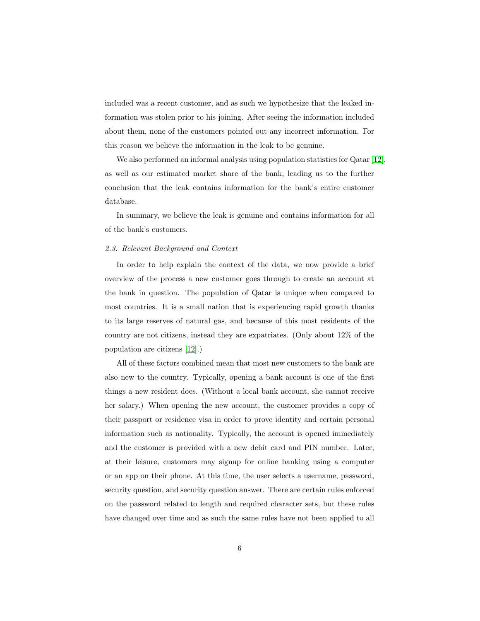included was a recent customer, and as such we hypothesize that the leaked information was stolen prior to his joining. After seeing the information included about them, none of the customers pointed out any incorrect information. For this reason we believe the information in the leak to be genuine.

We also performed an informal analysis using population statistics for Qatar [\[12\]](#page-35-4), as well as our estimated market share of the bank, leading us to the further conclusion that the leak contains information for the bank's entire customer database.

In summary, we believe the leak is genuine and contains information for all of the bank's customers.

# 2.3. Relevant Background and Context

In order to help explain the context of the data, we now provide a brief overview of the process a new customer goes through to create an account at the bank in question. The population of Qatar is unique when compared to most countries. It is a small nation that is experiencing rapid growth thanks to its large reserves of natural gas, and because of this most residents of the country are not citizens, instead they are expatriates. (Only about 12% of the population are citizens [\[12\]](#page-35-4).)

All of these factors combined mean that most new customers to the bank are also new to the country. Typically, opening a bank account is one of the first things a new resident does. (Without a local bank account, she cannot receive her salary.) When opening the new account, the customer provides a copy of their passport or residence visa in order to prove identity and certain personal information such as nationality. Typically, the account is opened immediately and the customer is provided with a new debit card and PIN number. Later, at their leisure, customers may signup for online banking using a computer or an app on their phone. At this time, the user selects a username, password, security question, and security question answer. There are certain rules enforced on the password related to length and required character sets, but these rules have changed over time and as such the same rules have not been applied to all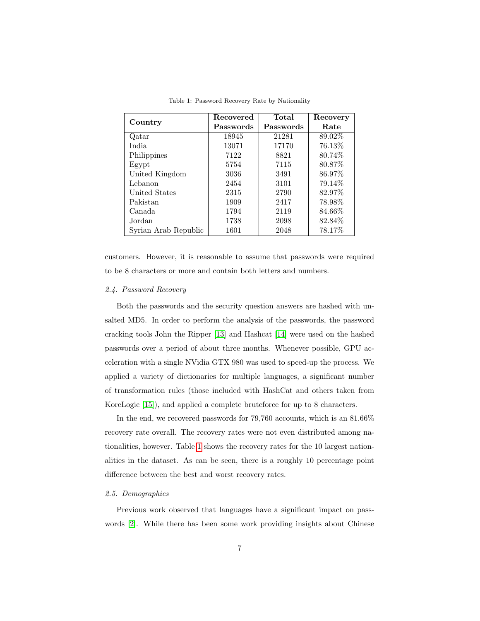<span id="page-6-0"></span>

|                      | Recovered | Total     | Recovery |
|----------------------|-----------|-----------|----------|
| Country              | Passwords | Passwords | Rate     |
| Qatar                | 18945     | 21281     | 89.02%   |
| India.               | 13071     | 17170     | 76.13%   |
| Philippines          | 7122      | 8821      | 80.74\%  |
| Egypt                | 5754      | 7115      | 80.87\%  |
| United Kingdom       | 3036      | 3491      | 86.97%   |
| Lebanon              | 2454      | 3101      | 79.14%   |
| United States        | 2315      | 2790      | 82.97%   |
| Pakistan             | 1909      | 2417      | 78.98%   |
| Canada               | 1794      | 2119      | 84.66%   |
| Jordan               | 1738      | 2098      | 82.84%   |
| Syrian Arab Republic | 1601      | 2048      | 78.17%   |

Table 1: Password Recovery Rate by Nationality

customers. However, it is reasonable to assume that passwords were required to be 8 characters or more and contain both letters and numbers.

# 2.4. Password Recovery

Both the passwords and the security question answers are hashed with unsalted MD5. In order to perform the analysis of the passwords, the password cracking tools John the Ripper [\[13\]](#page-35-5) and Hashcat [\[14\]](#page-35-6) were used on the hashed passwords over a period of about three months. Whenever possible, GPU acceleration with a single NVidia GTX 980 was used to speed-up the process. We applied a variety of dictionaries for multiple languages, a significant number of transformation rules (those included with HashCat and others taken from KoreLogic [\[15\]](#page-35-7)), and applied a complete bruteforce for up to 8 characters.

In the end, we recovered passwords for 79,760 accounts, which is an 81.66% recovery rate overall. The recovery rates were not even distributed among nationalities, however. Table [1](#page-6-0) shows the recovery rates for the 10 largest nationalities in the dataset. As can be seen, there is a roughly 10 percentage point difference between the best and worst recovery rates.

## 2.5. Demographics

Previous work observed that languages have a significant impact on passwords [\[2\]](#page-34-1). While there has been some work providing insights about Chinese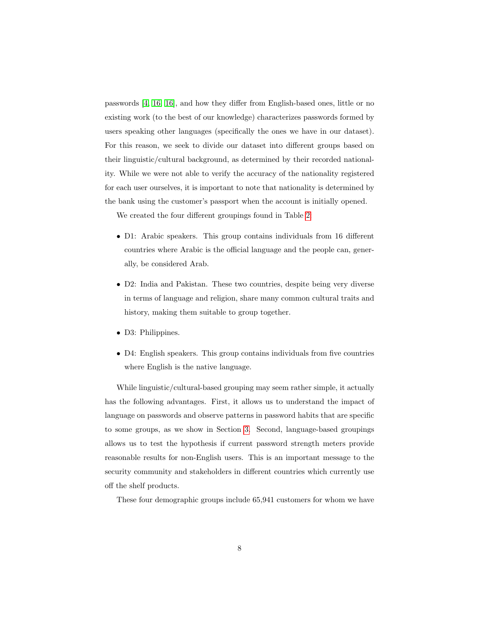passwords [\[4,](#page-34-3) [16, 16\]](#page-35-8), and how they differ from English-based ones, little or no existing work (to the best of our knowledge) characterizes passwords formed by users speaking other languages (specifically the ones we have in our dataset). For this reason, we seek to divide our dataset into different groups based on their linguistic/cultural background, as determined by their recorded nationality. While we were not able to verify the accuracy of the nationality registered for each user ourselves, it is important to note that nationality is determined by the bank using the customer's passport when the account is initially opened.

We created the four different groupings found in Table [2:](#page-8-0)

- D1: Arabic speakers. This group contains individuals from 16 different countries where Arabic is the official language and the people can, generally, be considered Arab.
- D2: India and Pakistan. These two countries, despite being very diverse in terms of language and religion, share many common cultural traits and history, making them suitable to group together.
- D3: Philippines.
- D4: English speakers. This group contains individuals from five countries where English is the native language.

While linguistic/cultural-based grouping may seem rather simple, it actually has the following advantages. First, it allows us to understand the impact of language on passwords and observe patterns in password habits that are specific to some groups, as we show in Section [3.](#page-9-0) Second, language-based groupings allows us to test the hypothesis if current password strength meters provide reasonable results for non-English users. This is an important message to the security community and stakeholders in different countries which currently use off the shelf products.

These four demographic groups include 65,941 customers for whom we have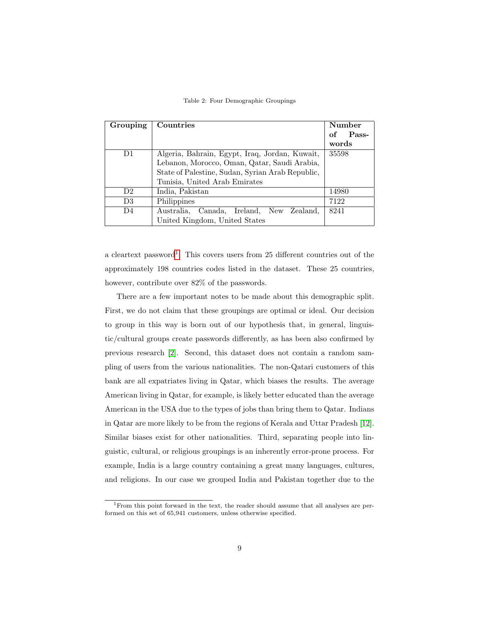Table 2: Four Demographic Groupings

<span id="page-8-0"></span>

| Grouping       | Countries                                        | Number      |
|----------------|--------------------------------------------------|-------------|
|                |                                                  | Pass-<br>of |
|                |                                                  | words       |
| D <sub>1</sub> | Algeria, Bahrain, Egypt, Iraq, Jordan, Kuwait,   | 35598       |
|                | Lebanon, Morocco, Oman, Qatar, Saudi Arabia,     |             |
|                | State of Palestine, Sudan, Syrian Arab Republic, |             |
|                | Tunisia, United Arab Emirates                    |             |
| D <sub>2</sub> | India, Pakistan                                  | 14980       |
| D <sub>3</sub> | Philippines                                      | 7122        |
| D <sub>4</sub> | Canada, Ireland, New Zealand,<br>Australia,      | 8241        |
|                | United Kingdom, United States                    |             |

a cleartext password<sup>[1](#page-8-1)</sup>. This covers users from 25 different countries out of the approximately 198 countries codes listed in the dataset. These 25 countries, however, contribute over 82% of the passwords.

There are a few important notes to be made about this demographic split. First, we do not claim that these groupings are optimal or ideal. Our decision to group in this way is born out of our hypothesis that, in general, linguistic/cultural groups create passwords differently, as has been also confirmed by previous research [\[2\]](#page-34-1). Second, this dataset does not contain a random sampling of users from the various nationalities. The non-Qatari customers of this bank are all expatriates living in Qatar, which biases the results. The average American living in Qatar, for example, is likely better educated than the average American in the USA due to the types of jobs than bring them to Qatar. Indians in Qatar are more likely to be from the regions of Kerala and Uttar Pradesh [\[12\]](#page-35-4). Similar biases exist for other nationalities. Third, separating people into linguistic, cultural, or religious groupings is an inherently error-prone process. For example, India is a large country containing a great many languages, cultures, and religions. In our case we grouped India and Pakistan together due to the

<span id="page-8-1"></span><sup>1</sup>From this point forward in the text, the reader should assume that all analyses are performed on this set of 65,941 customers, unless otherwise specified.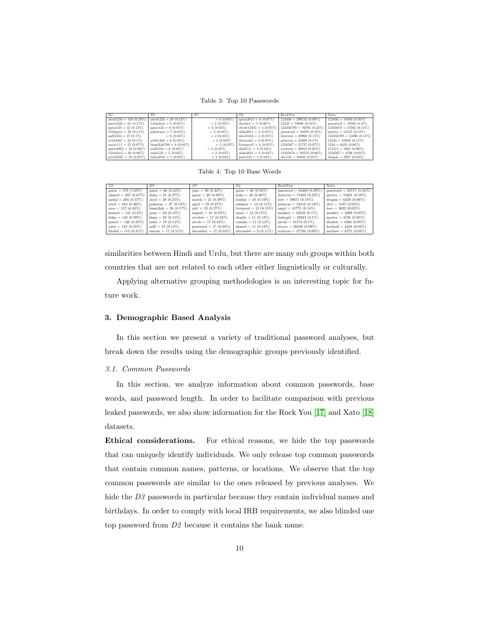Table 3: Top 10 Passwords

<span id="page-9-1"></span>

| DI                             | D <sub>2</sub>                | D3             |                                | RockYou                     | <b>Xato</b>                 |
|--------------------------------|-------------------------------|----------------|--------------------------------|-----------------------------|-----------------------------|
| $abcd1234 = 103(0.29\%)$       | $abcd1234 = 20(0.13\%)$       | $= 3(0.04\%)$  | $\text{qatar}2013 = 6(0.07\%)$ | $123456 = 290732(0.89\%)$   | $123456 = 55893(0.56\%)$    |
| qwer1234 = 61 $(0.17\%)$       | $1234abcd = 8(0.05\%)$        | $= 2$ (0.03%)  | charlie1 = $5(0.06\%)$         | $12345 = 79080(0.24\%)$     | password = $19580(0.2\%)$   |
| $\text{qatar}123 = 43$ (0.12%) | $\text{qatar}123 = 8$ (0.05%) | $= 2(0.03\%)$  | $abcdel2345 = 4(0.05\%)$       | $123456789 = 76794(0.24\%)$ | $12345678 = 13582(0.14\%)$  |
| $1234$ awer = 39 $(0.11\%)$    | pakistan $1 = 7(0.05\%)$      | $= 2$ (0.03%)  | $doha2011 = 4(0.05\%)$         | password = $59479(0.18\%)$  | qwerty = $13137(0.13\%)$    |
| $asdf1234 = 37(0.1\%)$         | $= 6(0.04\%)$                 | $= 2$ (0.03\%) | $abcd1234 = 4(0.05\%)$         | iloveyou = $49960 (0.15\%)$ | $123456789 = 11696(0.12\%)$ |
| $a1234567 = 34(0.1\%)$         | $a1b2c3d4 = 6(0.04\%)$        | $= 2 (0.03\%)$ | $deborah1 = 4 (0.05\%)$        | princess = $33369(0.1\%)$   | $12345 = 10938(0.11\%)$     |
| aaaa $1111 = 25 (0.07\%)$      | bismillah $786 = 6(0.04\%)$   | $= 2 (0.03\%)$ | liverpool1 = $4(0.05\%)$       | $1234567 = 21727(0.07\%)$   | $1234 = 6432(0.06\%)$       |
| $qatar2022 = 23$ (0.06%)       | $asdf1234 = 6(0.04\%)$        | $= 2$ (0.03\%) | allah111 = $3(0.04\%)$         | $rockyou = 20918(0.06\%)$   | $111111 = 5682(0.06\%)$     |
| $1234abcd = 20(0.06\%)$        | india123 = $5(0.03\%)$        | $= 2(0.03\%)$  | $doha2012 = 3(0.04\%)$         | $12345678 = 20554(0.06\%)$  | $1234567 = 4796(0.05\%)$    |
| $m1234567 = 19(0.05\%)$        | $doha2010 = 5(0.03\%)$        | $= 2(0.03\%)$  | paris $123 = 3(0.04\%)$        | $abc123 = 16648(0.05\%)$    | $dragon = 3927 (0.04\%)$    |

Table 4: Top 10 Base Words

<span id="page-9-2"></span>

| D1                      | D2                              | D.8                           | D4                       | RockYou                           | Xato                            |
|-------------------------|---------------------------------|-------------------------------|--------------------------|-----------------------------------|---------------------------------|
| $qatar = 579 (1.63%)$   | $qatar = 66(0.44\%)$            | $june = 30 (0.42\%)$          | $qatar = 48 (0.58\%)$    | password = $94488(0.29\%)$        | password = $23717(0.24\%)$      |
| ahmed = $237(0.67\%)$   | doha = $41(0.27\%)$             | $\text{qatar} = 28 (0.39\%)$  | doha = $38(0.46\%)$      | ilovevou = $71895 (0.22\%)$       | qwerty = $19301 (0.19\%)$       |
| mohd = $204(0.57\%)$    | $abcd = 38(0.25\%)$             | march = $21(0.29\%)$          | london = $16(0.19\%)$    | $love = 59671 (0.18\%)$           | $\text{dragon} = 6359 (0.06\%)$ |
| $abcd = 163(0.46\%)$    | pakistan = $27(0.18\%)$         | $april = 19(0.27%)$           | summer $= 12$ (0.15%)    | princess = $58516$ (0.18%)        | $alex = 5187 (0.05\%)$          |
| $sara = 157(0.44\%)$    | bismillah = $26(0.17\%)$        | $\text{july} = 19(0.27\%)$    | liverpool = $12(0.15\%)$ | angel = $45775(0.14\%)$           | love = $5022(0.05\%)$           |
| hamad $= 141 (0.4\%)$   | jesus $= 23$ (0.15%)            | august = $18(0.25\%)$         | $omar = 12(0.15\%)$      | monkey = $33232(0.1\%)$           | monkey = $4869(0.05\%)$         |
| doha = $140(0.39\%)$    | $\mathrm{khan} = 22 \ (0.15\%)$ | $october = 17(0.24\%)$        | charlie = $11(0.13\%)$   | babygirl = $32043$ (0.1%)         | master = $4736(0.05\%)$         |
| $nasser = 126 (0.35\%)$ | india $= 19(0.13\%)$            | $\text{nicole} = 17 (0.24\%)$ | canada = $11$ (0.13%)    | $\text{nicole} = 31574 \ (0.1\%)$ | shadow = $4560(0.05\%)$         |
| $qwer = 125 (0.35\%)$   | $asdf = 18(0.12\%)$             | password = $17(0.24\%)$       | ahmed $= 11$ $(0.13\%)$  | $soccer = 30530 (0.09\%)$         | football = $4338(0.04\%)$       |
| khalid = $112(0.31\%)$  | sairam = $17(0.11\%)$           | december = $17(0.24\%)$       | alexander = $9(0.11\%)$  | rockyou = $27783$ (0.09%)         | michael = $4275(0.04\%)$        |

similarities between Hindi and Urdu, but there are many sub groups within both countries that are not related to each other either linguistically or culturally.

Applying alternative grouping methodologies is an interesting topic for future work.

## <span id="page-9-0"></span>3. Demographic Based Analysis

In this section we present a variety of traditional password analyses, but break down the results using the demographic groups previously identified.

#### <span id="page-9-3"></span>3.1. Common Passwords

In this section, we analyze information about common passwords, base words, and password length. In order to facilitate comparison with previous leaked passwords, we also show information for the Rock You [\[17\]](#page-36-0) and Xato [\[18\]](#page-36-1) datasets.

Ethical considerations. For ethical reasons, we hide the top passwords that can uniquely identify individuals. We only release top common passwords that contain common names, patterns, or locations. We observe that the top common passwords are similar to the ones released by previous analyses. We hide the D<sub>3</sub> passwords in particular because they contain individual names and birthdays. In order to comply with local IRB requirements, we also blinded one top password from D2 because it contains the bank name.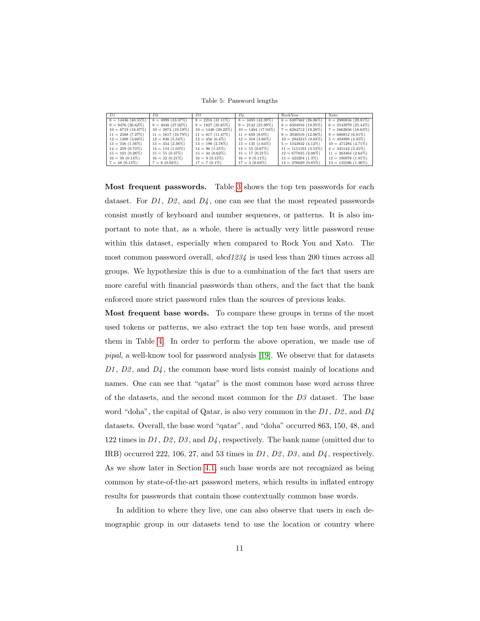Table 5: Password lengths

<span id="page-10-0"></span>

| DI                   | D2.                  | D.3                   | D4                   | RockYou                 | Xato                   |
|----------------------|----------------------|-----------------------|----------------------|-------------------------|------------------------|
| $8 = 14436(40.55\%)$ | $8 = 4999(33.37\%)$  | $8 = 2216(31.11\%)$   | $8 = 3493(42.39\%)$  | $6 = 8497562(26.06\%)$  | $8 = 2980856(29.81\%)$ |
| $9 = 9476(26.62\%)$  | $9 = 4048(27.02\%)$  | $9 = 1827(25.65\%)$   | $9 = 2142(25.99\%)$  | $8 = 6504916 (19.95\%)$ | $6 = 2543979(25.44\%)$ |
| $10 = 6719(18.87%)$  | $10 = 2874(19.19\%)$ | $10 = 1440 (20.22\%)$ | $10 = 1404(17.04\%)$ | $7 = 6284712(19.28\%)$  | $7 = 1662856(16.63\%)$ |
| $11 = 2588(7.27\%)$  | $11 = 1617(10.79\%)$ | $11 = 817(11.47%)$    | $11 = 659(8.0\%)$    | $9 = 3938519(12.08\%)$  | $9 = 680812(6.81\%)$   |
| $12 = 1309(3.68\%)$  | $12 = 830(5.54\%)$   | $12 = 456(6.4\%)$     | $12 = 318(3.86\%)$   | $10 = 2943315(9.03\%)$  | $5 = 494999(4.95\%)$   |
| $13 = 556(1.56\%)$   | $13 = 354$ (2.36%)   | $13 = 198(2.78\%)$    | $13 = 135(1.64\%)$   | $5 = 1343832(4.12\%)$   | $10 = 471284(4.71\%)$  |
| $14 = 259(0.73\%)$   | $14 = 154(1.03\%)$   | $14 = 96(1.35\%)$     | $14 = 55(0.67\%)$    | $11 = 1151591 (3.53%)$  | $4 = 345142 (3.45\%)$  |
| $15 = 101 (0.28\%)$  | $15 = 55(0.37\%)$    | $15 = 44(0.62\%)$     | $15 = 17(0.21\%)$    | $12 = 677835(2.08\%)$   | $11 = 263464 (2.64\%)$ |
| $16 = 50(0.14\%)$    | $16 = 32(0.21\%)$    | $16 = 9(0.13\%)$      | $16 = 9(0.11\%)$     | $13 = 423204 (1.3\%)$   | $12 = 190978(1.91\%)$  |
| $7 = 48(0.13\%)$     | $7 = 6(0.04\%)$      | $17 = 7(0.1\%)$       | $17 = 3(0.04\%)$     | $14 = 276029(0.85\%)$   | $13 = 135586 (1.36\%)$ |

Most frequent passwords. Table [3](#page-9-1) shows the top ten passwords for each dataset. For  $D_1$ ,  $D_2$ , and  $D_4$ , one can see that the most repeated passwords consist mostly of keyboard and number sequences, or patterns. It is also important to note that, as a whole, there is actually very little password reuse within this dataset, especially when compared to Rock You and Xato. The most common password overall, abcd1234 is used less than 200 times across all groups. We hypothesize this is due to a combination of the fact that users are more careful with financial passwords than others, and the fact that the bank enforced more strict password rules than the sources of previous leaks.

Most frequent base words. To compare these groups in terms of the most used tokens or patterns, we also extract the top ten base words, and present them in Table [4.](#page-9-2) In order to perform the above operation, we made use of pipal, a well-know tool for password analysis [\[19\]](#page-36-2). We observe that for datasets  $D1$ ,  $D2$ , and  $D4$ , the common base word lists consist mainly of locations and names. One can see that "qatar" is the most common base word across three of the datasets, and the second most common for the  $D<sub>3</sub>$  dataset. The base word "doha", the capital of Qatar, is also very common in the  $D_1$ ,  $D_2$ , and  $D_4$ datasets. Overall, the base word "qatar", and "doha" occurred 863, 150, 48, and 122 times in  $D1$ ,  $D2$ ,  $D3$ , and  $D4$ , respectively. The bank name (omitted due to IRB) occurred 222, 106, 27, and 53 times in  $D1$ ,  $D2$ ,  $D3$ , and  $D4$ , respectively. As we show later in Section [4.1,](#page-24-0) such base words are not recognized as being common by state-of-the-art password meters, which results in inflated entropy results for passwords that contain those contextually common base words.

In addition to where they live, one can also observe that users in each demographic group in our datasets tend to use the location or country where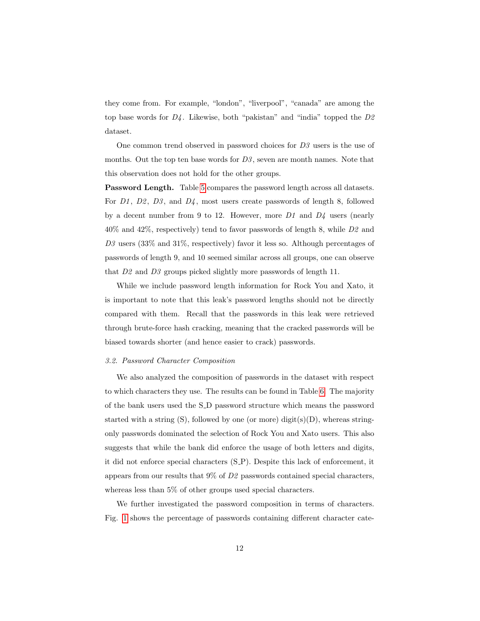they come from. For example, "london", "liverpool", "canada" are among the top base words for  $D<sub>4</sub>$ . Likewise, both "pakistan" and "india" topped the  $D<sub>2</sub>$ dataset.

One common trend observed in password choices for  $D3$  users is the use of months. Out the top ten base words for  $D3$ , seven are month names. Note that this observation does not hold for the other groups.

Password Length. Table [5](#page-10-0) compares the password length across all datasets. For  $D1$ ,  $D2$ ,  $D3$ , and  $D4$ , most users create passwords of length 8, followed by a decent number from 9 to 12. However, more  $D1$  and  $D4$  users (nearly 40% and 42%, respectively) tend to favor passwords of length 8, while D2 and D3 users (33% and 31%, respectively) favor it less so. Although percentages of passwords of length 9, and 10 seemed similar across all groups, one can observe that D2 and D3 groups picked slightly more passwords of length 11.

While we include password length information for Rock You and Xato, it is important to note that this leak's password lengths should not be directly compared with them. Recall that the passwords in this leak were retrieved through brute-force hash cracking, meaning that the cracked passwords will be biased towards shorter (and hence easier to crack) passwords.

#### 3.2. Password Character Composition

We also analyzed the composition of passwords in the dataset with respect to which characters they use. The results can be found in Table [6.](#page-12-0) The majority of the bank users used the S D password structure which means the password started with a string  $(S)$ , followed by one (or more) digit $(s)(D)$ , whereas stringonly passwords dominated the selection of Rock You and Xato users. This also suggests that while the bank did enforce the usage of both letters and digits, it did not enforce special characters (S P). Despite this lack of enforcement, it appears from our results that  $9\%$  of  $D\mathcal{Q}$  passwords contained special characters, whereas less than 5% of other groups used special characters.

We further investigated the password composition in terms of characters. Fig. [1](#page-12-1) shows the percentage of passwords containing different character cate-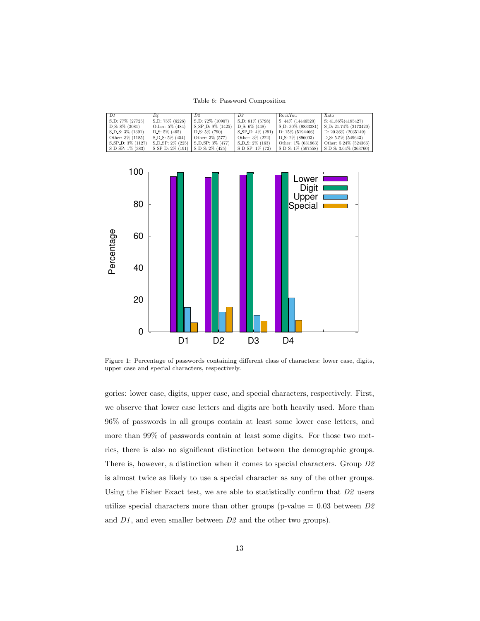Table 6: Password Composition

<span id="page-12-0"></span>

| D1                    | D4                                                 | D2                            | D3                                 | <b>RockYou</b>              | Xato                           |
|-----------------------|----------------------------------------------------|-------------------------------|------------------------------------|-----------------------------|--------------------------------|
| S_D: 77\% (27725)     | $S.D: 75\% (6226)$                                 | $S_{\text{-}}D: 72\% (10907)$ | $\vert$ S_D: 81\% (5798)           | $S: 44\% (14446520)$        | $S: 41.86\%(4185427)$          |
| $D.S: 8\% (3081)$     | Other: 5% (484)                                    | S_SP_D: 9% (1425)             | $D.S: 6\% (448)$                   | $\vert$ S_D: 30\% (9833381) | S.D: 21.74% (2173420)          |
| S_D_S: 3\% (1391)     | D.S: $5\%$ (465)                                   | $D.S: 5\% (790)$              | $S$ <sub>-SP</sub> -D: $4\%$ (291) | $D: 15\% (5194466)$         | D: 20.36\% (2035149)           |
| Other: 3\% (1185)     | $S.D.S: 5\% (454)$                                 | Other: $3\%$ (577)            | Other: $3\%$ (222)                 | $D_S: 2\%$ (896003)         | $D.S: 5.5\% (549643)$          |
| S_SP_D: 3\% (1127)    | S_D_SP: 2\% (225)                                  | $S.D.SP: 3\% (477)$           | $S.D.S: 2\% (163)$                 | Other: $1\%$ (631963)       | Other: 5.24% (524366)          |
| $S\_D\_SP: 1\% (383)$ | $\vert$ S_SP_D: 2\% (191) $\vert$ S_D_S: 2\% (425) |                               | $S.D$ <sub>SP</sub> : $1\%$ (72)   | S_D_S: 1\% (597558)         | $\vert$ S_D_S: 3.64\% (363760) |

<span id="page-12-1"></span>

Figure 1: Percentage of passwords containing different class of characters: lower case, digits, upper case and special characters, respectively.

gories: lower case, digits, upper case, and special characters, respectively. First, we observe that lower case letters and digits are both heavily used. More than 96% of passwords in all groups contain at least some lower case letters, and more than 99% of passwords contain at least some digits. For those two metrics, there is also no significant distinction between the demographic groups. There is, however, a distinction when it comes to special characters. Group D2 is almost twice as likely to use a special character as any of the other groups. Using the Fisher Exact test, we are able to statistically confirm that D2 users utilize special characters more than other groups (p-value  $= 0.03$  between  $D2$ and  $D1$ , and even smaller between  $D2$  and the other two groups).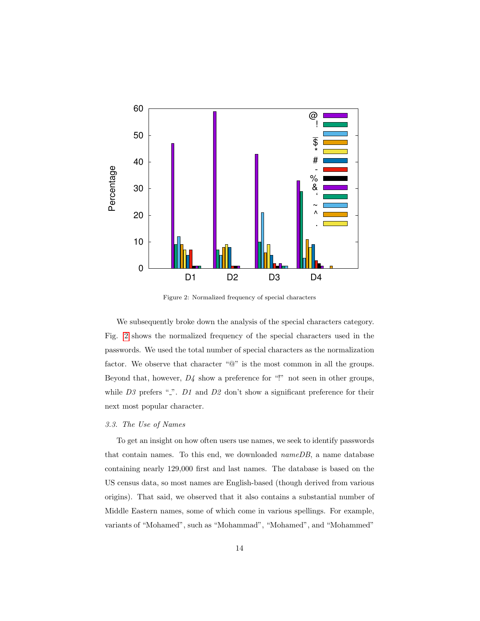<span id="page-13-0"></span>

Figure 2: Normalized frequency of special characters

We subsequently broke down the analysis of the special characters category. Fig. [2](#page-13-0) shows the normalized frequency of the special characters used in the passwords. We used the total number of special characters as the normalization factor. We observe that character "@" is the most common in all the groups. Beyond that, however,  $D<sub>4</sub>$  show a preference for "!" not seen in other groups, while  $D3$  prefers ".".  $D1$  and  $D2$  don't show a significant preference for their next most popular character.

## 3.3. The Use of Names

To get an insight on how often users use names, we seek to identify passwords that contain names. To this end, we downloaded nameDB, a name database containing nearly 129,000 first and last names. The database is based on the US census data, so most names are English-based (though derived from various origins). That said, we observed that it also contains a substantial number of Middle Eastern names, some of which come in various spellings. For example, variants of "Mohamed", such as "Mohammad", "Mohamed", and "Mohammed"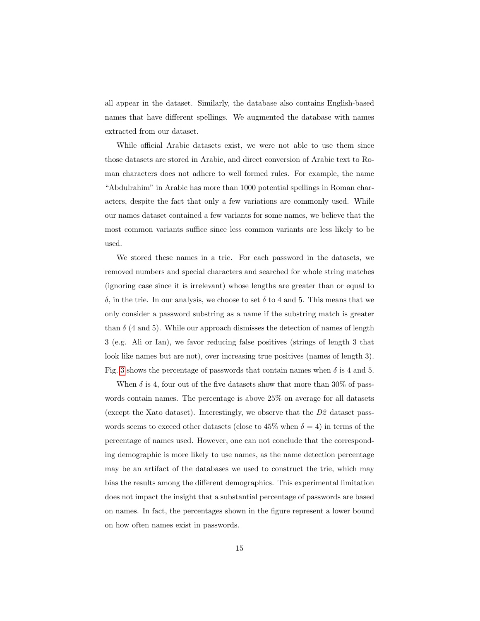all appear in the dataset. Similarly, the database also contains English-based names that have different spellings. We augmented the database with names extracted from our dataset.

While official Arabic datasets exist, we were not able to use them since those datasets are stored in Arabic, and direct conversion of Arabic text to Roman characters does not adhere to well formed rules. For example, the name "Abdulrahim" in Arabic has more than 1000 potential spellings in Roman characters, despite the fact that only a few variations are commonly used. While our names dataset contained a few variants for some names, we believe that the most common variants suffice since less common variants are less likely to be used.

We stored these names in a trie. For each password in the datasets, we removed numbers and special characters and searched for whole string matches (ignoring case since it is irrelevant) whose lengths are greater than or equal to  $\delta$ , in the trie. In our analysis, we choose to set  $\delta$  to 4 and 5. This means that we only consider a password substring as a name if the substring match is greater than  $\delta$  (4 and 5). While our approach dismisses the detection of names of length 3 (e.g. Ali or Ian), we favor reducing false positives (strings of length 3 that look like names but are not), over increasing true positives (names of length 3). Fig. [3](#page-15-0) shows the percentage of passwords that contain names when  $\delta$  is 4 and 5.

When  $\delta$  is 4, four out of the five datasets show that more than 30% of passwords contain names. The percentage is above 25% on average for all datasets (except the Xato dataset). Interestingly, we observe that the D2 dataset passwords seems to exceed other datasets (close to 45% when  $\delta = 4$ ) in terms of the percentage of names used. However, one can not conclude that the corresponding demographic is more likely to use names, as the name detection percentage may be an artifact of the databases we used to construct the trie, which may bias the results among the different demographics. This experimental limitation does not impact the insight that a substantial percentage of passwords are based on names. In fact, the percentages shown in the figure represent a lower bound on how often names exist in passwords.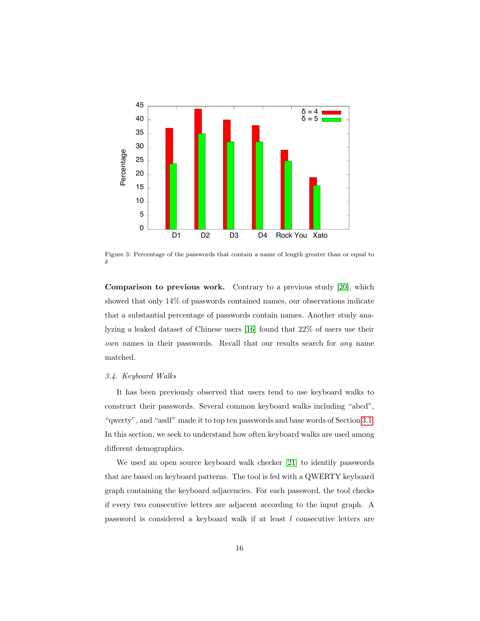<span id="page-15-0"></span>

Figure 3: Percentage of the passwords that contain a name of length greater than or equal to  $\delta$ 

**Comparison to previous work.** Contrary to a previous study [20], which showed that only 14% of passwords contained names, our observations indicate that a substantial percentage of passwords contain names. Another study analyzing a leaked dataset of Chinese users [16] found that  $22\%$  of users use their own names in their passwords. Recall that our results search for *any* name matched.

## 3.4. Keyboard Walks

It has been previously observed that users tend to use keyboard walks to construct their passwords. Several common keyboard walks including "abcd", "qwerty", and "asdf" made it to top ten passwords and base words of Section 3.1. In this section, we seek to understand how often keyboard walks are used among different demographics.

We used an open source keyboard walk checker [21] to identify passwords that are based on keyboard patterns. The tool is fed with a QWERTY keyboard graph containing the keyboard adjacencies. For each password, the tool checks if every two consecutive letters are adjacent according to the input graph. A password is considered a keyboard walk if at least  $l$  consecutive letters are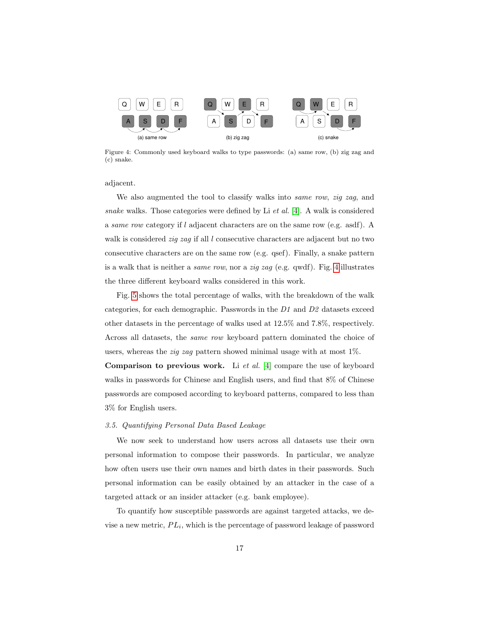<span id="page-16-0"></span>

Figure 4: Commonly used keyboard walks to type passwords: (a) same row, (b) zig zag and (c) snake.

adjacent.

We also augmented the tool to classify walks into same row, zig zag, and snake walks. Those categories were defined by Li  $et$  al. [\[4\]](#page-34-3). A walk is considered a same row category if l adjacent characters are on the same row (e.g. asdf). A walk is considered *zig zag* if all  $l$  consecutive characters are adjacent but no two consecutive characters are on the same row (e.g. qsef). Finally, a snake pattern is a walk that is neither a same row, nor a zig zag (e.g. qwdf). Fig. [4](#page-16-0) illustrates the three different keyboard walks considered in this work.

Fig. [5](#page-17-0) shows the total percentage of walks, with the breakdown of the walk categories, for each demographic. Passwords in the D1 and D2 datasets exceed other datasets in the percentage of walks used at 12.5% and 7.8%, respectively. Across all datasets, the same row keyboard pattern dominated the choice of users, whereas the zig zag pattern showed minimal usage with at most 1%.

**Comparison to previous work.** Li et al. [\[4\]](#page-34-3) compare the use of keyboard walks in passwords for Chinese and English users, and find that 8% of Chinese passwords are composed according to keyboard patterns, compared to less than 3% for English users.

## 3.5. Quantifying Personal Data Based Leakage

We now seek to understand how users across all datasets use their own personal information to compose their passwords. In particular, we analyze how often users use their own names and birth dates in their passwords. Such personal information can be easily obtained by an attacker in the case of a targeted attack or an insider attacker (e.g. bank employee).

To quantify how susceptible passwords are against targeted attacks, we devise a new metric,  $PL_i$ , which is the percentage of password leakage of password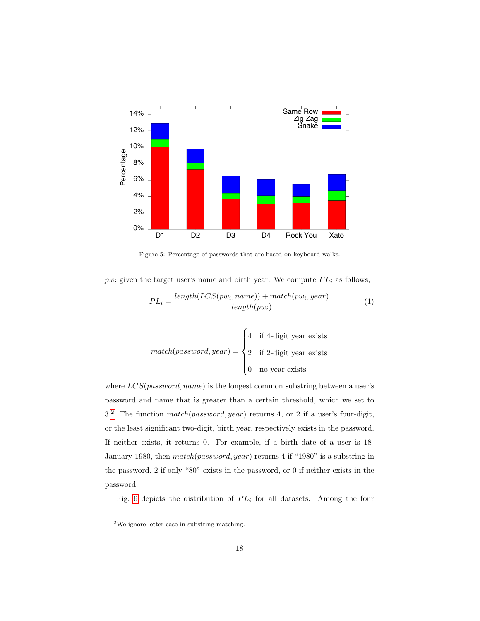<span id="page-17-0"></span>

Figure 5: Percentage of passwords that are based on keyboard walks.

 $pw_i$  given the target user's name and birth year. We compute  $PL_i$  as follows,

$$
PL_i = \frac{length(LCS(pw_i, name)) + match(pw_i, year)}{length(pw_i)}
$$
\n(1)

$$
match(password, year) = \begin{cases} 4 & \text{if 4-digit year exists} \\ 2 & \text{if 2-digit year exists} \\ 0 & \text{no year exists} \end{cases}
$$

where  $LCS(password, name)$  is the longest common substring between a user's password and name that is greater than a certain threshold, which we set to 3.<sup>2</sup> The function  $match(password, year)$  returns 4, or 2 if a user's four-digit, or the least significant two-digit, birth year, respectively exists in the password. If neither exists, it returns 0. For example, if a birth date of a user is 18-January-1980, then match(password, year) returns 4 if "1980" is a substring in the password,  $2$  if only "80" exists in the password, or 0 if neither exists in the password.

Fig. 6 depicts the distribution of  $PL_i$  for all datasets. Among the four

<span id="page-17-1"></span> $2$ We ignore letter case in substring matching.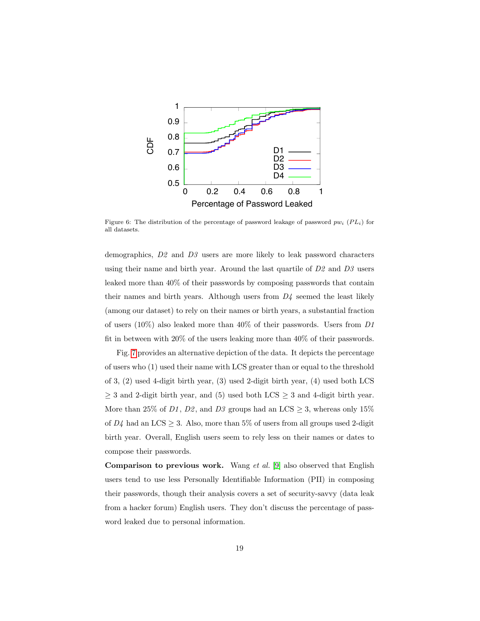<span id="page-18-0"></span>

Figure 6: The distribution of the percentage of password leakage of password  $pw_i$  ( $PL_i$ ) for all datasets.

demographics,  $D2$  and  $D3$  users are more likely to leak password characters using their name and birth year. Around the last quartile of  $D2$  and  $D3$  users leaked more than  $40\%$  of their passwords by composing passwords that contain their names and birth years. Although users from  $D<sub>4</sub>$  seemed the least likely (among our dataset) to rely on their names or birth years, a substantial fraction of users  $(10\%)$  also leaked more than  $40\%$  of their passwords. Users from D1 fit in between with  $20\%$  of the users leaking more than  $40\%$  of their passwords.

Fig. 7 provides an alternative depiction of the data. It depicts the percentage of users who (1) used their name with LCS greater than or equal to the threshold of 3,  $(2)$  used 4-digit birth year,  $(3)$  used 2-digit birth year,  $(4)$  used both LCS  $\geq$  3 and 2-digit birth year, and (5) used both LCS  $\geq$  3 and 4-digit birth year. More than 25% of  $D1,\,D2,$  and  $D3$  groups had an LCS  $\geq 3,$  whereas only  $15\%$ of  $D<sub>4</sub>$  had an LCS  $\geq$  3. Also, more than 5% of users from all groups used 2-digit birth year. Overall, English users seem to rely less on their names or dates to compose their passwords.

**Comparison to previous work.** Wang *et al.* [9] also observed that English users tend to use less Personally Identifiable Information (PII) in composing their passwords, though their analysis covers a set of security-saving (data leak from a hacker forum) English users. They don't discuss the percentage of password leaked due to personal information.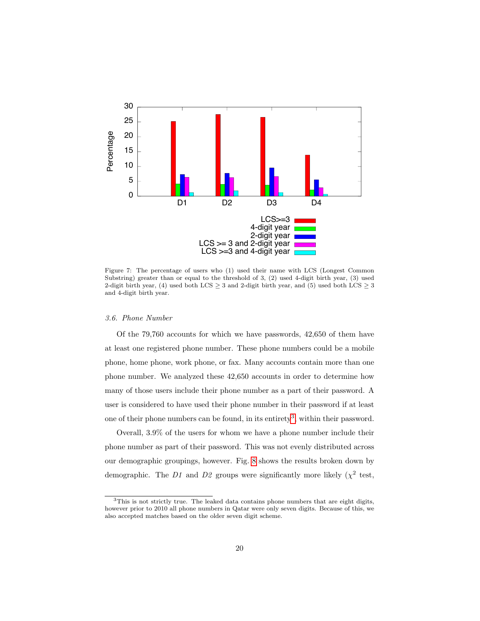<span id="page-19-0"></span>

Figure 7: The percentage of users who (1) used their name with LCS (Longest Common Substring) greater than or equal to the threshold of 3, (2) used 4-digit birth year, (3) used 2-digit birth year, (4) used both LCS  $\geq$  3 and 2-digit birth year, and (5) used both LCS  $\geq$  3 and 4-digit birth year.

# 3.6. Phone Number

Of the  $79,760$  accounts for which we have passwords,  $42,650$  of them have at least one registered phone number. These phone numbers could be a mobile phone, home phone, work phone, or fax. Many accounts contain more than one phone number. We analyzed these 42,650 accounts in order to determine how many of those users include their phone number as a part of their password. A user is considered to have used their phone number in their password if at least one of their phone numbers can be found, in its entirety<sup>3</sup>, within their password.

Overall, 3.9% of the users for whom we have a phone number include their phone number as part of their password. This was not evenly distributed across our demographic groupings, however. Fig. 8 shows the results broken down by demographic. The D1 and D2 groups were significantly more likely ( $\chi^2$  test,

<span id="page-19-1"></span><sup>&</sup>lt;sup>3</sup>This is not strictly true. The leaked data contains phone numbers that are eight digits, however prior to 2010 all phone numbers in Qatar were only seven digits. Because of this, we also accepted matches based on the older seven digit scheme.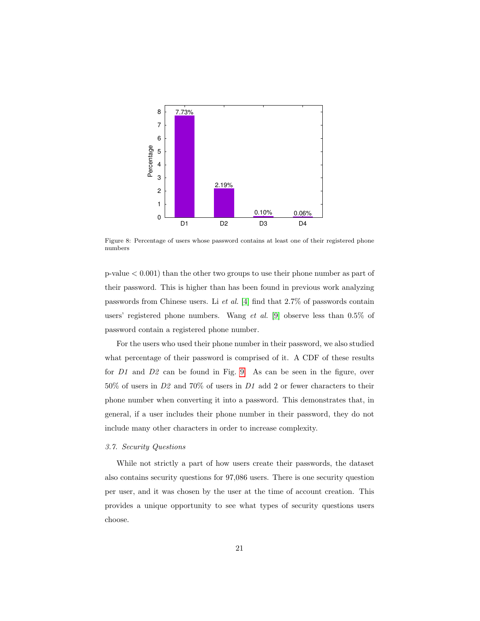<span id="page-20-0"></span>

Figure 8: Percentage of users whose password contains at least one of their registered phone numbers

 $p-value < 0.001$  than the other two groups to use their phone number as part of their password. This is higher than has been found in previous work analyzing passwords from Chinese users. Li et al. [\[4\]](#page-34-3) find that 2.7% of passwords contain users' registered phone numbers. Wang et al. [\[9\]](#page-35-1) observe less than 0.5% of password contain a registered phone number.

For the users who used their phone number in their password, we also studied what percentage of their password is comprised of it. A CDF of these results for D1 and D2 can be found in Fig. [9.](#page-21-0) As can be seen in the figure, over 50% of users in D2 and 70% of users in D1 add 2 or fewer characters to their phone number when converting it into a password. This demonstrates that, in general, if a user includes their phone number in their password, they do not include many other characters in order to increase complexity.

#### 3.7. Security Questions

While not strictly a part of how users create their passwords, the dataset also contains security questions for 97,086 users. There is one security question per user, and it was chosen by the user at the time of account creation. This provides a unique opportunity to see what types of security questions users choose.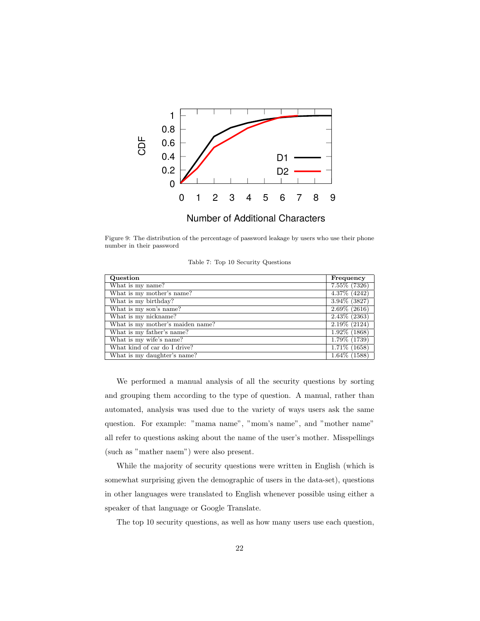<span id="page-21-0"></span>

Figure 9: The distribution of the percentage of password leakage by users who use their phone number in their password

<span id="page-21-1"></span>

| Question                         | Frequency       |
|----------------------------------|-----------------|
| What is my name?                 | 7.55% (7326)    |
| What is my mother's name?        | 4.37% (4242)    |
| What is my birthday?             | $3.94\%$ (3827) |
| What is my son's name?           | $2.69\%$ (2616) |
| What is my nickname?             | $2.43\%$ (2363) |
| What is my mother's maiden name? | $2.19\%$ (2124) |
| What is my father's name?        | $1.92\%$ (1868) |
| What is my wife's name?          | 1.79% (1739)    |
| What kind of car do I drive?     | $1.71\%$ (1658) |
| What is my daughter's name?      | $1.64\%$ (1588) |

We performed a manual analysis of all the security questions by sorting and grouping them according to the type of question. A manual, rather than automated, analysis was used due to the variety of ways users ask the same question. For example: "mama name", "mom's name", and "mother name" all refer to questions asking about the name of the user's mother. Misspellings (such as "mather naem") were also present.

While the majority of security questions were written in English (which is somewhat surprising given the demographic of users in the data-set), questions in other languages were translated to English whenever possible using either a speaker of that language or Google Translate.

The top 10 security questions, as well as how many users use each question,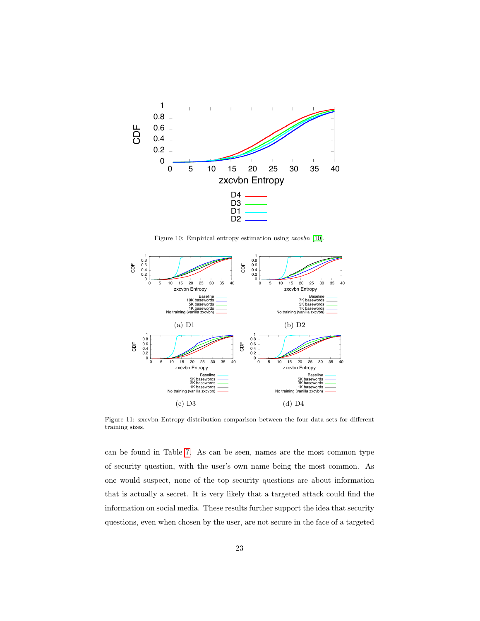<span id="page-22-0"></span>

Figure 10: Empirical entropy estimation using  $z x c v b n$  [10].

<span id="page-22-1"></span>

Figure 11: zxcvbn Entropy distribution comparison between the four data sets for different training sizes.

can be found in Table 7. As can be seen, names are the most common type of security question, with the user's own name being the most common. As one would suspect, none of the top security questions are about information that is actually a secret. It is very likely that a targeted attack could find the information on social media. These results further support the idea that security questions, even when chosen by the user, are not secure in the face of a targeted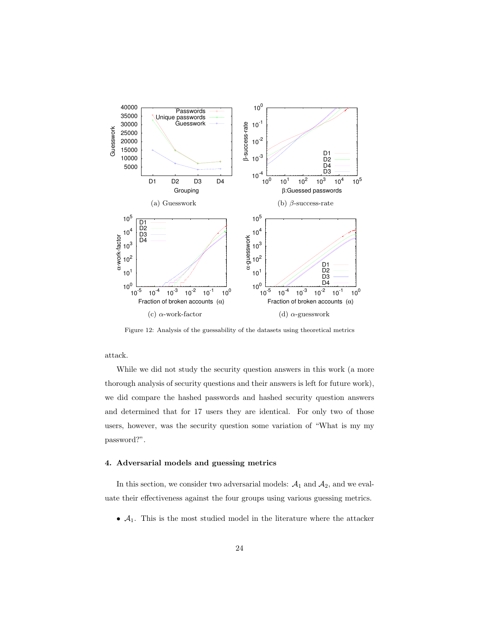<span id="page-23-1"></span>

Figure 12: Analysis of the guessability of the datasets using theoretical metrics

attack.

While we did not study the security question answers in this work (a more thorough analysis of security questions and their answers is left for future work), we did compare the hashed passwords and hashed security question answers and determined that for 17 users they are identical. For only two of those users, however, was the security question some variation of "What is my my password?".

# <span id="page-23-0"></span>4. Adversarial models and guessing metrics

In this section, we consider two adversarial models:  $A_1$  and  $A_2$ , and we evaluate their effectiveness against the four groups using various guessing metrics.

•  $A_1$ . This is the most studied model in the literature where the attacker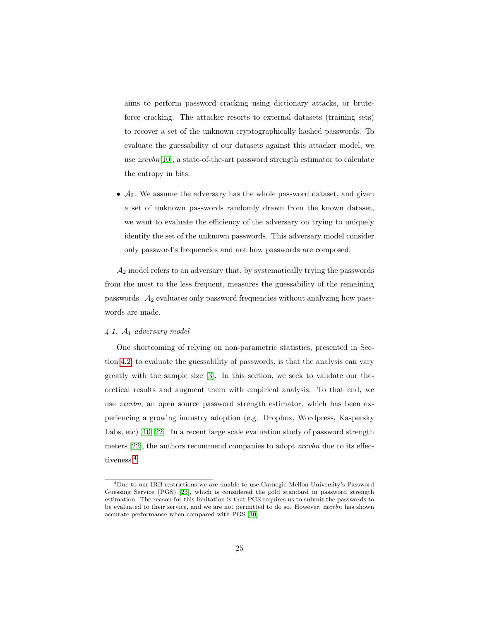aims to perform password cracking using dictionary attacks, or bruteforce cracking. The attacker resorts to external datasets (training sets) to recover a set of the unknown cryptographically hashed passwords. To evaluate the guessability of our datasets against this attacker model, we use zxcvbn[\[10\]](#page-35-2), a state-of-the-art password strength estimator to calculate the entropy in bits.

•  $A_2$ . We assume the adversary has the whole password dataset, and given a set of unknown passwords randomly drawn from the known dataset, we want to evaluate the efficiency of the adversary on trying to uniquely identify the set of the unknown passwords. This adversary model consider only password's frequencies and not how passwords are composed.

 $A_2$  model refers to an adversary that, by systematically trying the passwords from the most to the less frequent, measures the guessability of the remaining passwords.  $A_2$  evaluates only password frequencies without analyzing how passwords are made.

# <span id="page-24-0"></span> $4.1.$   $A_1$  adversary model

One shortcoming of relying on non-parametric statistics, presented in Section [4.2,](#page-26-0) to evaluate the guessability of passwords, is that the analysis can vary greatly with the sample size [\[3\]](#page-34-2). In this section, we seek to validate our theoretical results and augment them with empirical analysis. To that end, we use *zxcvbn*, an open source password strength estimator, which has been experiencing a growing industry adoption (e.g. Dropbox, Wordpress, Kaspersky Labs, etc) [\[10,](#page-35-2) [22\]](#page-36-5). In a recent large scale evaluation study of password strength meters [\[22\]](#page-36-5), the authors recommend companies to adopt *zxcvbn* due to its effectiveness.[4](#page-24-1)

<span id="page-24-1"></span><sup>4</sup>Due to our IRB restrictions we are unable to use Carnegie Mellon University's Password Guessing Service (PGS) [\[23\]](#page-36-6), which is considered the gold standard in password strength estimation. The reason for this limitation is that PGS requires us to submit the passwords to be evaluated to their service, and we are not permitted to do so. However, *zxcvbn* has shown accurate performance when compared with PGS [\[10\]](#page-35-2).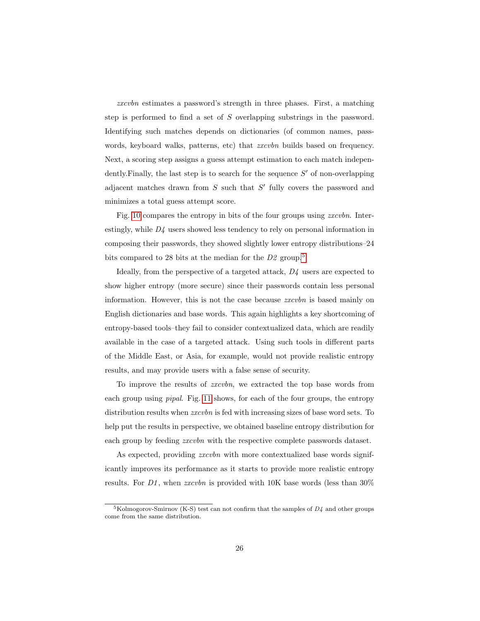zxcvbn estimates a password's strength in three phases. First, a matching step is performed to find a set of S overlapping substrings in the password. Identifying such matches depends on dictionaries (of common names, passwords, keyboard walks, patterns, etc) that *zxcvbn* builds based on frequency. Next, a scoring step assigns a guess attempt estimation to each match independently. Finally, the last step is to search for the sequence  $S'$  of non-overlapping adjacent matches drawn from  $S$  such that  $S'$  fully covers the password and minimizes a total guess attempt score.

Fig. [10](#page-22-0) compares the entropy in bits of the four groups using *zxcvbn*. Interestingly, while D4 users showed less tendency to rely on personal information in composing their passwords, they showed slightly lower entropy distributions–24 bits compared to 28 bits at the median for the  $D2$  group.<sup>[5](#page-25-0)</sup>

Ideally, from the perspective of a targeted attack, D4 users are expected to show higher entropy (more secure) since their passwords contain less personal information. However, this is not the case because *zxcubn* is based mainly on English dictionaries and base words. This again highlights a key shortcoming of entropy-based tools–they fail to consider contextualized data, which are readily available in the case of a targeted attack. Using such tools in different parts of the Middle East, or Asia, for example, would not provide realistic entropy results, and may provide users with a false sense of security.

To improve the results of zxcvbn, we extracted the top base words from each group using pipal. Fig. [11](#page-22-1) shows, for each of the four groups, the entropy distribution results when *zxcvbn* is fed with increasing sizes of base word sets. To help put the results in perspective, we obtained baseline entropy distribution for each group by feeding *zxcvbn* with the respective complete passwords dataset.

As expected, providing *zxcvbn* with more contextualized base words significantly improves its performance as it starts to provide more realistic entropy results. For D1, when zxcvbn is provided with 10K base words (less than  $30\%$ )

<span id="page-25-0"></span> ${}^{5}$ Kolmogorov-Smirnov (K-S) test can not confirm that the samples of  $D<sub>4</sub>$  and other groups come from the same distribution.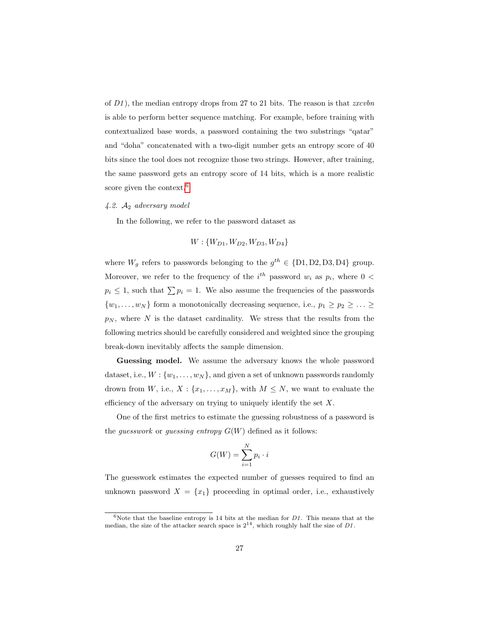of  $D1$ ), the median entropy drops from 27 to 21 bits. The reason is that  $xxcvbn$ is able to perform better sequence matching. For example, before training with contextualized base words, a password containing the two substrings "qatar" and "doha" concatenated with a two-digit number gets an entropy score of 40 bits since the tool does not recognize those two strings. However, after training, the same password gets an entropy score of 14 bits, which is a more realistic score given the context.<sup>[6](#page-26-1)</sup>

# <span id="page-26-0"></span> $4.2.$   $A_2$  adversary model

In the following, we refer to the password dataset as

$$
W: \{W_{D1}, W_{D2}, W_{D3}, W_{D4}\}
$$

where  $W_g$  refers to passwords belonging to the  $g^{th} \in \{D1, D2, D3, D4\}$  group. Moreover, we refer to the frequency of the  $i^{th}$  password  $w_i$  as  $p_i$ , where  $0 <$  $p_i \leq 1$ , such that  $\sum p_i = 1$ . We also assume the frequencies of the passwords  $\{w_1, \ldots, w_N\}$  form a monotonically decreasing sequence, i.e.,  $p_1 \geq p_2 \geq \ldots \geq$  $p_N$ , where N is the dataset cardinality. We stress that the results from the following metrics should be carefully considered and weighted since the grouping break-down inevitably affects the sample dimension.

Guessing model. We assume the adversary knows the whole password dataset, i.e.,  $W: \{w_1, \ldots, w_N\}$ , and given a set of unknown passwords randomly drown from W, i.e.,  $X: \{x_1, \ldots, x_M\}$ , with  $M \leq N$ , we want to evaluate the efficiency of the adversary on trying to uniquely identify the set  $X$ .

One of the first metrics to estimate the guessing robustness of a password is the *guesswork* or *guessing entropy*  $G(W)$  defined as it follows:

$$
G(W) = \sum_{i=1}^{N} p_i \cdot i
$$

The guesswork estimates the expected number of guesses required to find an unknown password  $X = \{x_1\}$  proceeding in optimal order, i.e., exhaustively

<span id="page-26-1"></span> $6$ Note that the baseline entropy is 14 bits at the median for  $D1$ . This means that at the median, the size of the attacker search space is  $2^{14}$ , which roughly half the size of D1.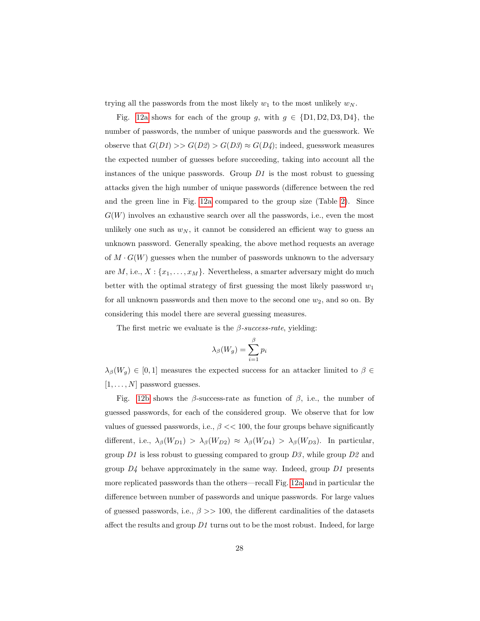trying all the passwords from the most likely  $w_1$  to the most unlikely  $w_N$ .

Fig. [12a](#page-23-1) shows for each of the group g, with  $g \in \{D1, D2, D3, D4\}$ , the number of passwords, the number of unique passwords and the guesswork. We observe that  $G(D1) >> G(D2) > G(D3) \approx G(D4)$ ; indeed, guesswork measures the expected number of guesses before succeeding, taking into account all the instances of the unique passwords. Group  $D1$  is the most robust to guessing attacks given the high number of unique passwords (difference between the red and the green line in Fig. [12a](#page-23-1) compared to the group size (Table [2\)](#page-8-0). Since  $G(W)$  involves an exhaustive search over all the passwords, i.e., even the most unlikely one such as  $w_N$ , it cannot be considered an efficient way to guess an unknown password. Generally speaking, the above method requests an average of  $M \cdot G(W)$  guesses when the number of passwords unknown to the adversary are  $M$ , i.e.,  $X: \{x_1, \ldots, x_M\}$ . Nevertheless, a smarter adversary might do much better with the optimal strategy of first guessing the most likely password  $w_1$ for all unknown passwords and then move to the second one  $w_2$ , and so on. By considering this model there are several guessing measures.

The first metric we evaluate is the  $\beta$ -success-rate, yielding:

$$
\lambda_{\beta}(W_g) = \sum_{i=1}^{\beta} p_i
$$

 $\lambda_{\beta}(W_g) \in [0,1]$  measures the expected success for an attacker limited to  $\beta \in$  $[1, \ldots, N]$  password guesses.

Fig. [12b](#page-23-1) shows the  $\beta$ -success-rate as function of  $\beta$ , i.e., the number of guessed passwords, for each of the considered group. We observe that for low values of guessed passwords, i.e.,  $\beta \ll 100$ , the four groups behave significantly different, i.e.,  $\lambda_{\beta}(W_{D1}) > \lambda_{\beta}(W_{D2}) \approx \lambda_{\beta}(W_{D4}) > \lambda_{\beta}(W_{D3})$ . In particular, group  $D1$  is less robust to guessing compared to group  $D3$ , while group  $D2$  and group  $D<sub>4</sub>$  behave approximately in the same way. Indeed, group  $D<sub>1</sub>$  presents more replicated passwords than the others—recall Fig. [12a](#page-23-1) and in particular the difference between number of passwords and unique passwords. For large values of guessed passwords, i.e.,  $\beta \gg 100$ , the different cardinalities of the datasets affect the results and group  $D1$  turns out to be the most robust. Indeed, for large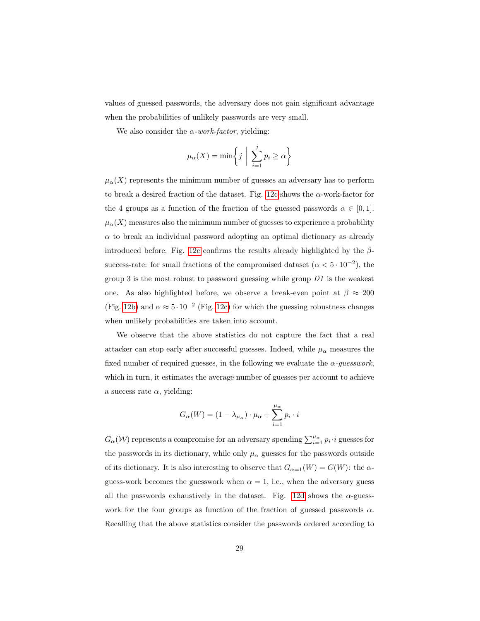values of guessed passwords, the adversary does not gain significant advantage when the probabilities of unlikely passwords are very small.

We also consider the  $\alpha$ -work-factor, yielding:

$$
\mu_{\alpha}(X) = \min\left\{j \mid \sum_{i=1}^{j} p_i \ge \alpha\right\}
$$

 $\mu_{\alpha}(X)$  represents the minimum number of guesses an adversary has to perform to break a desired fraction of the dataset. Fig. [12c](#page-23-1) shows the  $\alpha$ -work-factor for the 4 groups as a function of the fraction of the guessed passwords  $\alpha \in [0,1]$ .  $\mu_{\alpha}(X)$  measures also the minimum number of guesses to experience a probability  $\alpha$  to break an individual password adopting an optimal dictionary as already introduced before. Fig. [12c](#page-23-1) confirms the results already highlighted by the  $\beta$ success-rate: for small fractions of the compromised dataset  $(\alpha < 5 \cdot 10^{-2})$ , the group 3 is the most robust to password guessing while group  $D_1$  is the weakest one. As also highlighted before, we observe a break-even point at  $\beta \approx 200$ (Fig. [12b\)](#page-23-1) and  $\alpha \approx 5 \cdot 10^{-2}$  (Fig. [12c\)](#page-23-1) for which the guessing robustness changes when unlikely probabilities are taken into account.

We observe that the above statistics do not capture the fact that a real attacker can stop early after successful guesses. Indeed, while  $\mu_\alpha$  measures the fixed number of required guesses, in the following we evaluate the  $\alpha$ -quesswork, which in turn, it estimates the average number of guesses per account to achieve a success rate  $\alpha$ , yielding:

$$
G_{\alpha}(W) = (1 - \lambda_{\mu_{\alpha}}) \cdot \mu_{\alpha} + \sum_{i=1}^{\mu_{\alpha}} p_i \cdot i
$$

 $G_{\alpha}(\mathcal{W})$  represents a compromise for an adversary spending  $\sum_{i=1}^{\mu_{\alpha}} p_i \cdot i$  guesses for the passwords in its dictionary, while only  $\mu_{\alpha}$  guesses for the passwords outside of its dictionary. It is also interesting to observe that  $G_{\alpha=1}(W) = G(W)$ : the  $\alpha$ guess-work becomes the guesswork when  $\alpha = 1$ , i.e., when the adversary guess all the passwords exhaustively in the dataset. Fig. [12d](#page-23-1) shows the  $\alpha$ -guesswork for the four groups as function of the fraction of guessed passwords  $\alpha$ . Recalling that the above statistics consider the passwords ordered according to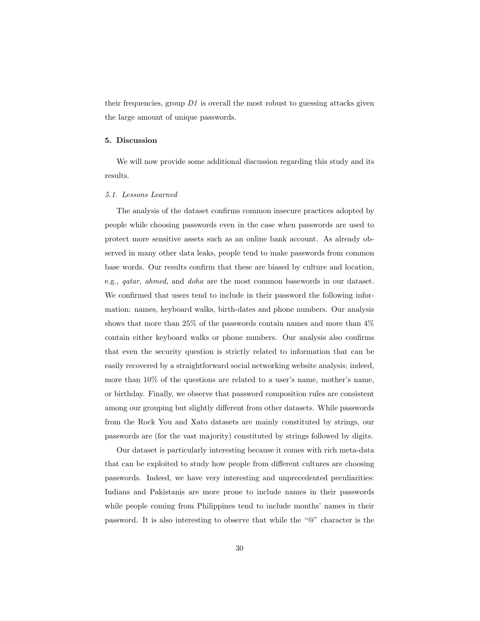their frequencies, group  $D1$  is overall the most robust to guessing attacks given the large amount of unique passwords.

#### <span id="page-29-0"></span>5. Discussion

We will now provide some additional discussion regarding this study and its results.

#### 5.1. Lessons Learned

The analysis of the dataset confirms common insecure practices adopted by people while choosing passwords even in the case when passwords are used to protect more sensitive assets such as an online bank account. As already observed in many other data leaks, people tend to make passwords from common base words. Our results confirm that these are biased by culture and location, e.g., qatar, ahmed, and doha are the most common basewords in our dataset. We confirmed that users tend to include in their password the following information: names, keyboard walks, birth-dates and phone numbers. Our analysis shows that more than 25% of the passwords contain names and more than 4% contain either keyboard walks or phone numbers. Our analysis also confirms that even the security question is strictly related to information that can be easily recovered by a straightforward social networking website analysis; indeed, more than 10% of the questions are related to a user's name, mother's name, or birthday. Finally, we observe that password composition rules are consistent among our grouping but slightly different from other datasets. While passwords from the Rock You and Xato datasets are mainly constituted by strings, our passwords are (for the vast majority) constituted by strings followed by digits.

Our dataset is particularly interesting because it comes with rich meta-data that can be exploited to study how people from different cultures are choosing passwords. Indeed, we have very interesting and unprecedented peculiarities: Indians and Pakistanis are more prone to include names in their passwords while people coming from Philippines tend to include months' names in their password. It is also interesting to observe that while the "@" character is the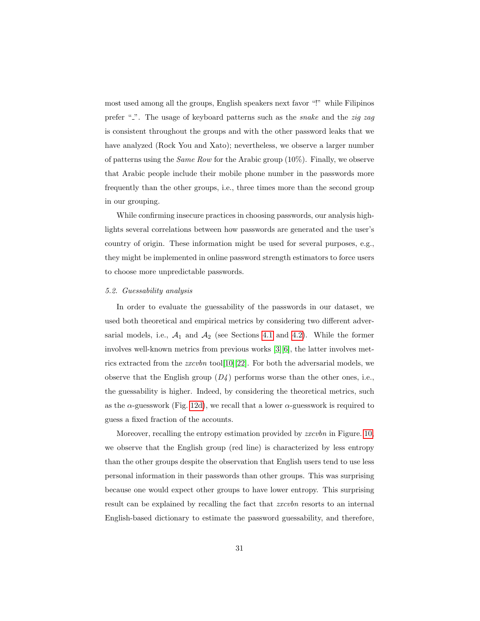most used among all the groups, English speakers next favor "!" while Filipinos prefer " $\cdot$ ". The usage of keyboard patterns such as the *snake* and the *zig zag* is consistent throughout the groups and with the other password leaks that we have analyzed (Rock You and Xato); nevertheless, we observe a larger number of patterns using the Same Row for the Arabic group (10%). Finally, we observe that Arabic people include their mobile phone number in the passwords more frequently than the other groups, i.e., three times more than the second group in our grouping.

While confirming insecure practices in choosing passwords, our analysis highlights several correlations between how passwords are generated and the user's country of origin. These information might be used for several purposes, e.g., they might be implemented in online password strength estimators to force users to choose more unpredictable passwords.

## 5.2. Guessability analysis

In order to evaluate the guessability of the passwords in our dataset, we used both theoretical and empirical metrics by considering two different adversarial models, i.e.,  $A_1$  and  $A_2$  (see Sections [4.1](#page-24-0) and [4.2\)](#page-26-0). While the former involves well-known metrics from previous works [\[3\]](#page-34-2)[\[6\]](#page-34-5), the latter involves metrics extracted from the zxcvbn tool[\[10\]](#page-35-2)[\[22\]](#page-36-5). For both the adversarial models, we observe that the English group  $(D_4)$  performs worse than the other ones, i.e., the guessability is higher. Indeed, by considering the theoretical metrics, such as the  $\alpha$ -guesswork (Fig. [12d\)](#page-23-1), we recall that a lower  $\alpha$ -guesswork is required to guess a fixed fraction of the accounts.

Moreover, recalling the entropy estimation provided by *zxcvbn* in Figure. [10,](#page-22-0) we observe that the English group (red line) is characterized by less entropy than the other groups despite the observation that English users tend to use less personal information in their passwords than other groups. This was surprising because one would expect other groups to have lower entropy. This surprising result can be explained by recalling the fact that *zxcvbn* resorts to an internal English-based dictionary to estimate the password guessability, and therefore,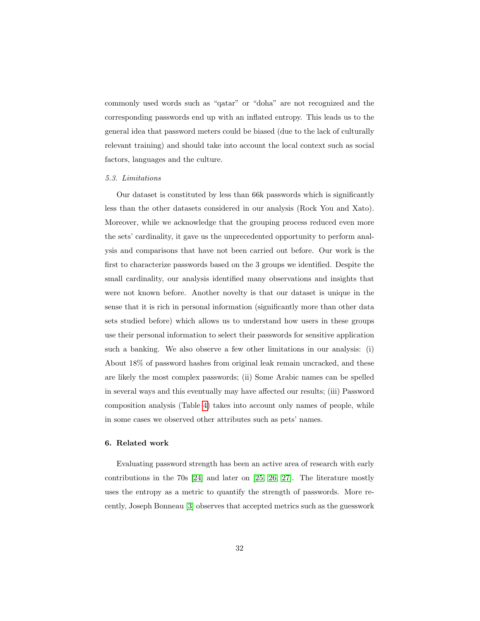commonly used words such as "qatar" or "doha" are not recognized and the corresponding passwords end up with an inflated entropy. This leads us to the general idea that password meters could be biased (due to the lack of culturally relevant training) and should take into account the local context such as social factors, languages and the culture.

## 5.3. Limitations

Our dataset is constituted by less than 66k passwords which is significantly less than the other datasets considered in our analysis (Rock You and Xato). Moreover, while we acknowledge that the grouping process reduced even more the sets' cardinality, it gave us the unprecedented opportunity to perform analysis and comparisons that have not been carried out before. Our work is the first to characterize passwords based on the 3 groups we identified. Despite the small cardinality, our analysis identified many observations and insights that were not known before. Another novelty is that our dataset is unique in the sense that it is rich in personal information (significantly more than other data sets studied before) which allows us to understand how users in these groups use their personal information to select their passwords for sensitive application such a banking. We also observe a few other limitations in our analysis: (i) About 18% of password hashes from original leak remain uncracked, and these are likely the most complex passwords; (ii) Some Arabic names can be spelled in several ways and this eventually may have affected our results; (iii) Password composition analysis (Table [4\)](#page-9-2) takes into account only names of people, while in some cases we observed other attributes such as pets' names.

#### <span id="page-31-0"></span>6. Related work

Evaluating password strength has been an active area of research with early contributions in the 70s [\[24\]](#page-36-7) and later on [\[25,](#page-36-8) [26,](#page-36-9) [27\]](#page-36-10). The literature mostly uses the entropy as a metric to quantify the strength of passwords. More recently, Joseph Bonneau [\[3\]](#page-34-2) observes that accepted metrics such as the guesswork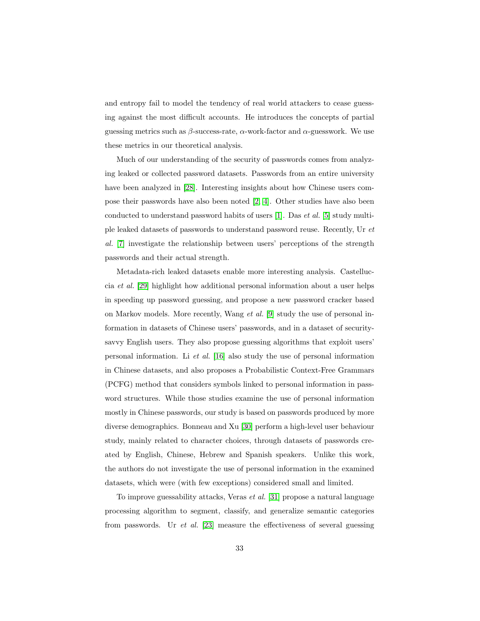and entropy fail to model the tendency of real world attackers to cease guessing against the most difficult accounts. He introduces the concepts of partial guessing metrics such as  $\beta$ -success-rate,  $\alpha$ -work-factor and  $\alpha$ -guesswork. We use these metrics in our theoretical analysis.

Much of our understanding of the security of passwords comes from analyzing leaked or collected password datasets. Passwords from an entire university have been analyzed in [\[28\]](#page-37-0). Interesting insights about how Chinese users compose their passwords have also been noted [\[2,](#page-34-1) [4\]](#page-34-3). Other studies have also been conducted to understand password habits of users [\[1\]](#page-34-0). Das et al. [\[5\]](#page-34-4) study multiple leaked datasets of passwords to understand password reuse. Recently, Ur et al. [\[7\]](#page-34-6) investigate the relationship between users' perceptions of the strength passwords and their actual strength.

Metadata-rich leaked datasets enable more interesting analysis. Castelluccia et al. [\[29\]](#page-37-1) highlight how additional personal information about a user helps in speeding up password guessing, and propose a new password cracker based on Markov models. More recently, Wang et al. [\[9\]](#page-35-1) study the use of personal information in datasets of Chinese users' passwords, and in a dataset of securitysavvy English users. They also propose guessing algorithms that exploit users' personal information. Li et al. [\[16\]](#page-35-8) also study the use of personal information in Chinese datasets, and also proposes a Probabilistic Context-Free Grammars (PCFG) method that considers symbols linked to personal information in password structures. While those studies examine the use of personal information mostly in Chinese passwords, our study is based on passwords produced by more diverse demographics. Bonneau and Xu [\[30\]](#page-37-2) perform a high-level user behaviour study, mainly related to character choices, through datasets of passwords created by English, Chinese, Hebrew and Spanish speakers. Unlike this work, the authors do not investigate the use of personal information in the examined datasets, which were (with few exceptions) considered small and limited.

To improve guessability attacks, Veras et al. [\[31\]](#page-37-3) propose a natural language processing algorithm to segment, classify, and generalize semantic categories from passwords. Ur *et al.* [\[23\]](#page-36-6) measure the effectiveness of several guessing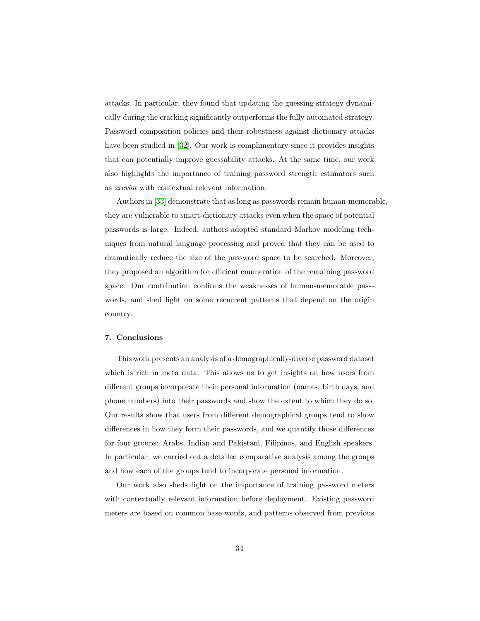attacks. In particular, they found that updating the guessing strategy dynamically during the cracking significantly outperforms the fully automated strategy. Password composition policies and their robustness against dictionary attacks have been studied in [\[32\]](#page-37-4). Our work is complimentary since it provides insights that can potentially improve guessability attacks. At the same time, our work also highlights the importance of training password strength estimators such as zxcvbn with contextual relevant information.

Authors in [\[33\]](#page-37-5) demonstrate that as long as passwords remain human-memorable, they are vulnerable to smart-dictionary attacks even when the space of potential passwords is large. Indeed, authors adopted standard Markov modeling techniques from natural language processing and proved that they can be used to dramatically reduce the size of the password space to be searched. Moreover, they proposed an algorithm for efficient enumeration of the remaining password space. Our contribution confirms the weaknesses of human-memorable passwords, and shed light on some recurrent patterns that depend on the origin country.

# <span id="page-33-0"></span>7. Conclusions

This work presents an analysis of a demographically-diverse password dataset which is rich in meta data. This allows us to get insights on how users from different groups incorporate their personal information (names, birth days, and phone numbers) into their passwords and show the extent to which they do so. Our results show that users from different demographical groups tend to show differences in how they form their passwords, and we quantify those differences for four groups: Arabs, Indian and Pakistani, Filipinos, and English speakers. In particular, we carried out a detailed comparative analysis among the groups and how each of the groups tend to incorporate personal information.

Our work also sheds light on the importance of training password meters with contextually relevant information before deployment. Existing password meters are based on common base words, and patterns observed from previous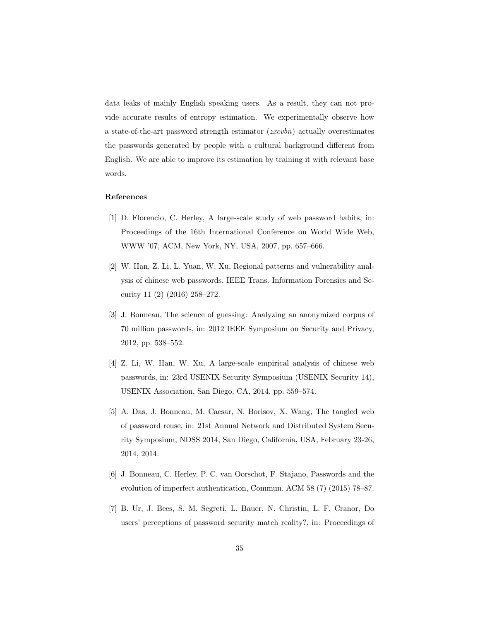data leaks of mainly English speaking users. As a result, they can not provide accurate results of entropy estimation. We experimentally observe how a state-of-the-art password strength estimator  $(zxcvbn)$  actually overestimates the passwords generated by people with a cultural background different from English. We are able to improve its estimation by training it with relevant base words.

# References

- <span id="page-34-0"></span>[1] D. Florencio, C. Herley, A large-scale study of web password habits, in: Proceedings of the 16th International Conference on World Wide Web, WWW '07, ACM, New York, NY, USA, 2007, pp. 657–666.
- <span id="page-34-1"></span>[2] W. Han, Z. Li, L. Yuan, W. Xu, Regional patterns and vulnerability analysis of chinese web passwords, IEEE Trans. Information Forensics and Security 11 (2) (2016) 258–272.
- <span id="page-34-2"></span>[3] J. Bonneau, The science of guessing: Analyzing an anonymized corpus of 70 million passwords, in: 2012 IEEE Symposium on Security and Privacy, 2012, pp. 538–552.
- <span id="page-34-3"></span>[4] Z. Li, W. Han, W. Xu, A large-scale empirical analysis of chinese web passwords, in: 23rd USENIX Security Symposium (USENIX Security 14), USENIX Association, San Diego, CA, 2014, pp. 559–574.
- <span id="page-34-4"></span>[5] A. Das, J. Bonneau, M. Caesar, N. Borisov, X. Wang, The tangled web of password reuse, in: 21st Annual Network and Distributed System Security Symposium, NDSS 2014, San Diego, California, USA, February 23-26, 2014, 2014.
- <span id="page-34-5"></span>[6] J. Bonneau, C. Herley, P. C. van Oorschot, F. Stajano, Passwords and the evolution of imperfect authentication, Commun. ACM 58 (7) (2015) 78–87.
- <span id="page-34-6"></span>[7] B. Ur, J. Bees, S. M. Segreti, L. Bauer, N. Christin, L. F. Cranor, Do users' perceptions of password security match reality?, in: Proceedings of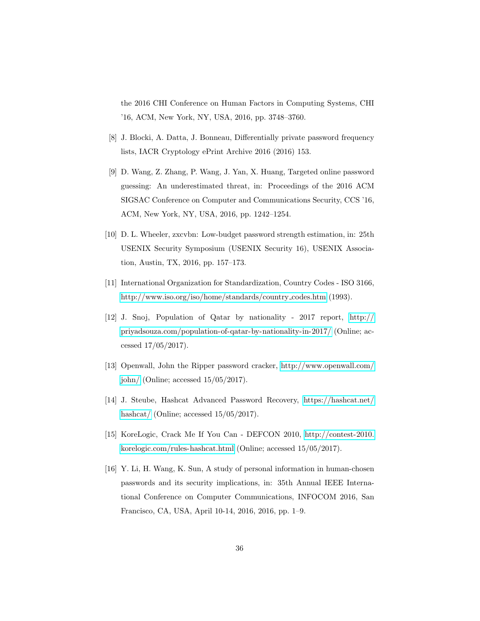the 2016 CHI Conference on Human Factors in Computing Systems, CHI '16, ACM, New York, NY, USA, 2016, pp. 3748–3760.

- <span id="page-35-0"></span>[8] J. Blocki, A. Datta, J. Bonneau, Differentially private password frequency lists, IACR Cryptology ePrint Archive 2016 (2016) 153.
- <span id="page-35-1"></span>[9] D. Wang, Z. Zhang, P. Wang, J. Yan, X. Huang, Targeted online password guessing: An underestimated threat, in: Proceedings of the 2016 ACM SIGSAC Conference on Computer and Communications Security, CCS '16, ACM, New York, NY, USA, 2016, pp. 1242–1254.
- <span id="page-35-2"></span>[10] D. L. Wheeler, zxcvbn: Low-budget password strength estimation, in: 25th USENIX Security Symposium (USENIX Security 16), USENIX Association, Austin, TX, 2016, pp. 157–173.
- <span id="page-35-3"></span>[11] International Organization for Standardization, Country Codes - ISO 3166, [http://www.iso.org/iso/home/standards/country](http://www.iso.org/iso/home/standards/country_codes.htm) codes.htm (1993).
- <span id="page-35-4"></span>[12] J. Snoj, Population of Qatar by nationality - 2017 report, [http://](http://priyadsouza.com/population-of-qatar-by-nationality-in-2017/) [priyadsouza.com/population-of-qatar-by-nationality-in-2017/](http://priyadsouza.com/population-of-qatar-by-nationality-in-2017/) (Online; accessed 17/05/2017).
- <span id="page-35-5"></span>[13] Openwall, John the Ripper password cracker, [http://www.openwall.com/](http://www.openwall.com/john/) [john/](http://www.openwall.com/john/) (Online; accessed 15/05/2017).
- <span id="page-35-6"></span>[14] J. Steube, Hashcat Advanced Password Recovery, [https://hashcat.net/](https://hashcat.net/hashcat/) [hashcat/](https://hashcat.net/hashcat/) (Online; accessed  $15/05/2017$ ).
- <span id="page-35-7"></span>[15] KoreLogic, Crack Me If You Can - DEFCON 2010, [http://contest-2010.](http://contest-2010.korelogic.com/rules-hashcat.html) [korelogic.com/rules-hashcat.html](http://contest-2010.korelogic.com/rules-hashcat.html) (Online; accessed 15/05/2017).
- <span id="page-35-8"></span>[16] Y. Li, H. Wang, K. Sun, A study of personal information in human-chosen passwords and its security implications, in: 35th Annual IEEE International Conference on Computer Communications, INFOCOM 2016, San Francisco, CA, USA, April 10-14, 2016, 2016, pp. 1–9.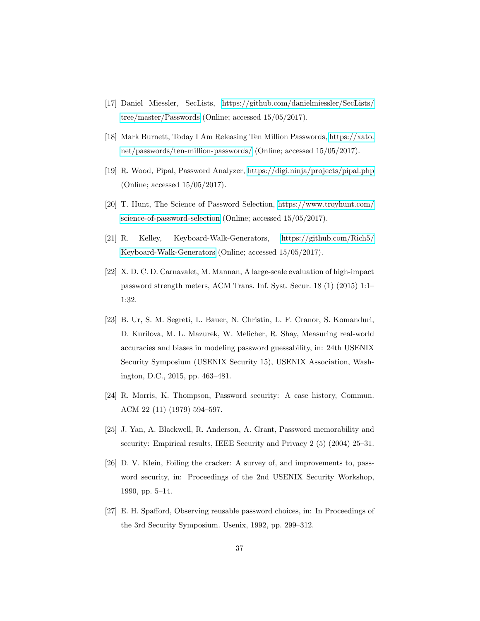- <span id="page-36-0"></span>[17] Daniel Miessler, SecLists, [https://github.com/danielmiessler/SecLists/](https://github.com/danielmiessler/SecLists/tree/master/Passwords) [tree/master/Passwords](https://github.com/danielmiessler/SecLists/tree/master/Passwords) (Online; accessed 15/05/2017).
- <span id="page-36-1"></span>[18] Mark Burnett, Today I Am Releasing Ten Million Passwords, [https://xato.](https://xato.net/passwords/ten-million-passwords/) [net/passwords/ten-million-passwords/](https://xato.net/passwords/ten-million-passwords/) (Online; accessed 15/05/2017).
- <span id="page-36-2"></span>[19] R. Wood, Pipal, Password Analyzer,<https://digi.ninja/projects/pipal.php> (Online; accessed 15/05/2017).
- <span id="page-36-3"></span>[20] T. Hunt, The Science of Password Selection, [https://www.troyhunt.com/](https://www.troyhunt.com/ science-of-password-selection) [science-of-password-selection](https://www.troyhunt.com/ science-of-password-selection) (Online; accessed 15/05/2017).
- <span id="page-36-4"></span>[21] R. Kelley, Keyboard-Walk-Generators, [https://github.com/Rich5/](https://github.com/Rich5/Keyboard-Walk-Generators) [Keyboard-Walk-Generators](https://github.com/Rich5/Keyboard-Walk-Generators) (Online; accessed 15/05/2017).
- <span id="page-36-5"></span>[22] X. D. C. D. Carnavalet, M. Mannan, A large-scale evaluation of high-impact password strength meters, ACM Trans. Inf. Syst. Secur. 18 (1) (2015) 1:1– 1:32.
- <span id="page-36-6"></span>[23] B. Ur, S. M. Segreti, L. Bauer, N. Christin, L. F. Cranor, S. Komanduri, D. Kurilova, M. L. Mazurek, W. Melicher, R. Shay, Measuring real-world accuracies and biases in modeling password guessability, in: 24th USENIX Security Symposium (USENIX Security 15), USENIX Association, Washington, D.C., 2015, pp. 463–481.
- <span id="page-36-7"></span>[24] R. Morris, K. Thompson, Password security: A case history, Commun. ACM 22 (11) (1979) 594–597.
- <span id="page-36-8"></span>[25] J. Yan, A. Blackwell, R. Anderson, A. Grant, Password memorability and security: Empirical results, IEEE Security and Privacy 2 (5) (2004) 25–31.
- <span id="page-36-9"></span>[26] D. V. Klein, Foiling the cracker: A survey of, and improvements to, password security, in: Proceedings of the 2nd USENIX Security Workshop, 1990, pp. 5–14.
- <span id="page-36-10"></span>[27] E. H. Spafford, Observing reusable password choices, in: In Proceedings of the 3rd Security Symposium. Usenix, 1992, pp. 299–312.